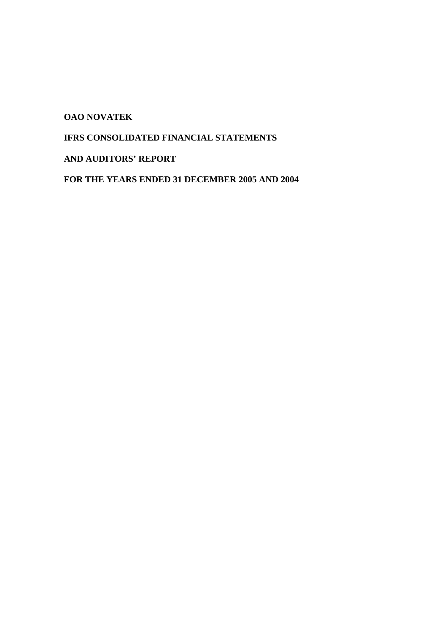**OAO NOVATEK** 

# **IFRS CONSOLIDATED FINANCIAL STATEMENTS**

# **AND AUDITORS' REPORT**

**FOR THE YEARS ENDED 31 DECEMBER 2005 AND 2004**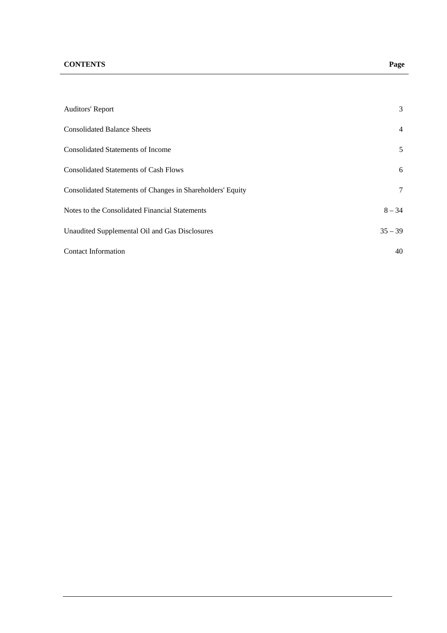# **CONTENTS Page**

| <b>Auditors' Report</b>                                    | 3              |
|------------------------------------------------------------|----------------|
| <b>Consolidated Balance Sheets</b>                         | $\overline{4}$ |
| <b>Consolidated Statements of Income</b>                   | 5              |
| <b>Consolidated Statements of Cash Flows</b>               | 6              |
| Consolidated Statements of Changes in Shareholders' Equity | 7              |
| Notes to the Consolidated Financial Statements             | $8 - 34$       |
| Unaudited Supplemental Oil and Gas Disclosures             | $35 - 39$      |
| <b>Contact Information</b>                                 | 40             |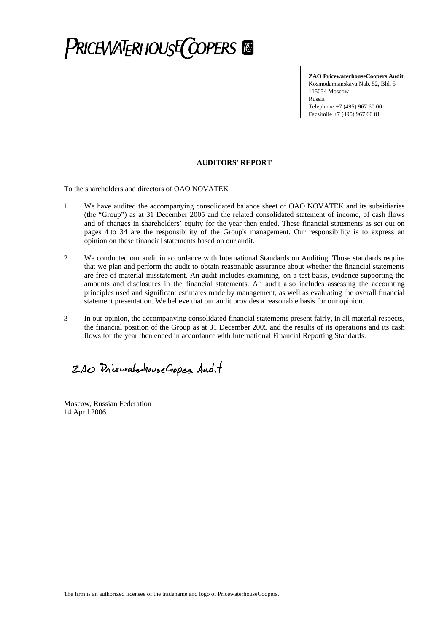

**ZAO PricewaterhouseCoopers Audit**  Kosmodamianskaya Nab. 52, Bld. 5 115054 Moscow Russia Telephone +7 (495) 967 60 00 Facsimile +7 (495) 967 60 01

#### **AUDITORS' REPORT**

To the shareholders and directors of OAO NOVATEK

- 1 We have audited the accompanying consolidated balance sheet of OAO NOVATEK and its subsidiaries (the "Group") as at 31 December 2005 and the related consolidated statement of income, of cash flows and of changes in shareholders' equity for the year then ended. These financial statements as set out on pages 4 to 34 are the responsibility of the Group's management. Our responsibility is to express an opinion on these financial statements based on our audit.
- 2 We conducted our audit in accordance with International Standards on Auditing. Those standards require that we plan and perform the audit to obtain reasonable assurance about whether the financial statements are free of material misstatement. An audit includes examining, on a test basis, evidence supporting the amounts and disclosures in the financial statements. An audit also includes assessing the accounting principles used and significant estimates made by management, as well as evaluating the overall financial statement presentation. We believe that our audit provides a reasonable basis for our opinion.
- 3 In our opinion, the accompanying consolidated financial statements present fairly, in all material respects, the financial position of the Group as at 31 December 2005 and the results of its operations and its cash flows for the year then ended in accordance with International Financial Reporting Standards.

ZAO PriewatchouseCoopes Aucht

Moscow, Russian Federation 14 April 2006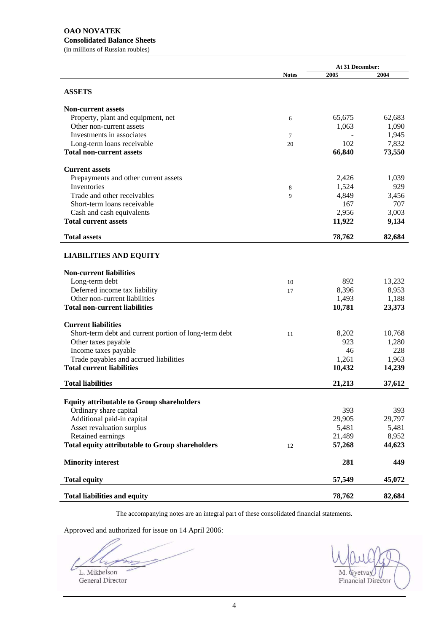**At 31 December: Notes 2005 2004 ASSETS Non-current assets**  Property, plant and equipment, net 65,675 62,683 Other non-current assets 1,063 1,090 Investments in associates  $\frac{7}{2}$   $\frac{1,945}{2}$ Long-term loans receivable 20 102 7,832 **Total non-current assets 66,840 73,550 Current assets**  Prepayments and other current assets 2,426 1,039 Inventories  $8 \t3.524 \t929$ Trade and other receivables 8 6 4,849 3,456 Short-term loans receivable 167 707<br>
Cash and cash equivalents 2,956 3,003 Cash and cash equivalents 2,956 3,003 **Total current assets 11,922 9,134 Total assets 78,762 82,684 LIABILITIES AND EQUITY Non-current liabilities**  Long-term debt 10 892 13,232 Deferred income tax liability 17 8,396 8,953 Other non-current liabilities 1,493 1,188 **Total non-current liabilities 10,781 23,373 Current liabilities**  Short-term debt and current portion of long-term debt 11 8,202 10,768 Other taxes payable 923 1,280 Income taxes payable 228 Trade payables and accrued liabilities 1,261 1,963 **Total current liabilities** 10,432 14,239 **11**,239 **Total liabilities 21,213 37,612 Equity attributable to Group shareholders**  Ordinary share capital 393 393 Additional paid-in capital 29,905 29,797 Asset revaluation surplus 5,481 5,481 5,481 Retained earnings 21,489 8,952 **Total equity attributable to Group shareholders** 12 **57,268 44,623 Minority interest** 281 449 **Total equity** 57,549 45,072 **Total liabilities and equity 78,762 82,684** 

The accompanying notes are an integral part of these consolidated financial statements.

Approved and authorized for issue on 14 April 2006:

m for

L. Mikhelson M. Gyetvay General Director Financial Director Financial Director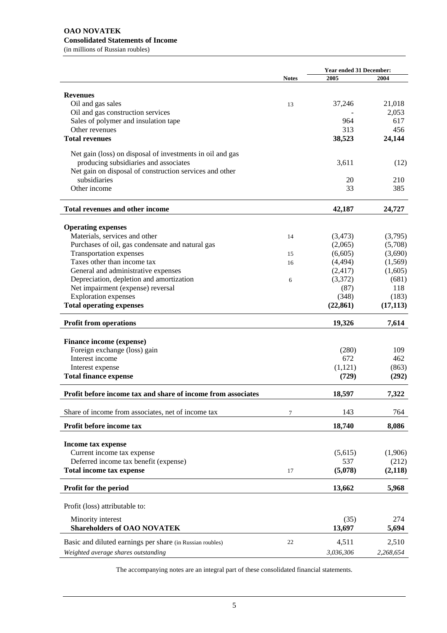## **OAO NOVATEK Consolidated Statements of Income**

(in millions of Russian roubles)

|                                                              |              | <b>Year ended 31 December:</b> |           |  |
|--------------------------------------------------------------|--------------|--------------------------------|-----------|--|
|                                                              | <b>Notes</b> | 2005                           | 2004      |  |
|                                                              |              |                                |           |  |
| <b>Revenues</b>                                              |              |                                |           |  |
| Oil and gas sales                                            | 13           | 37,246                         | 21,018    |  |
| Oil and gas construction services                            |              |                                | 2,053     |  |
| Sales of polymer and insulation tape                         |              | 964                            | 617       |  |
| Other revenues                                               |              | 313                            | 456       |  |
| <b>Total revenues</b>                                        |              | 38,523                         | 24,144    |  |
| Net gain (loss) on disposal of investments in oil and gas    |              |                                |           |  |
| producing subsidiaries and associates                        |              | 3,611                          | (12)      |  |
| Net gain on disposal of construction services and other      |              |                                |           |  |
| subsidiaries                                                 |              | 20                             | 210       |  |
| Other income                                                 |              | 33                             | 385       |  |
|                                                              |              |                                |           |  |
| <b>Total revenues and other income</b>                       |              | 42,187                         | 24,727    |  |
| <b>Operating expenses</b>                                    |              |                                |           |  |
| Materials, services and other                                | 14           | (3, 473)                       | (3,795)   |  |
| Purchases of oil, gas condensate and natural gas             |              | (2,065)                        | (5,708)   |  |
| <b>Transportation expenses</b>                               |              | (6,605)                        | (3,690)   |  |
| Taxes other than income tax                                  | 15           |                                |           |  |
|                                                              | 16           | (4, 494)                       | (1,569)   |  |
| General and administrative expenses                          |              | (2, 417)                       | (1,605)   |  |
| Depreciation, depletion and amortization                     | 6            | (3,372)                        | (681)     |  |
| Net impairment (expense) reversal                            |              | (87)                           | 118       |  |
| <b>Exploration</b> expenses                                  |              | (348)                          | (183)     |  |
| <b>Total operating expenses</b>                              |              | (22, 861)                      | (17, 113) |  |
| <b>Profit from operations</b>                                |              | 19,326                         | 7,614     |  |
| Finance income (expense)                                     |              |                                |           |  |
| Foreign exchange (loss) gain                                 |              | (280)                          | 109       |  |
| Interest income                                              |              | 672                            | 462       |  |
| Interest expense                                             |              | (1,121)                        | (863)     |  |
| <b>Total finance expense</b>                                 |              | (729)                          | (292)     |  |
|                                                              |              |                                |           |  |
| Profit before income tax and share of income from associates |              | 18,597                         | 7,322     |  |
| Share of income from associates, net of income tax           | 7            | 143                            | 764       |  |
| Profit before income tax                                     |              | 18,740                         | 8,086     |  |
|                                                              |              |                                |           |  |
| Income tax expense                                           |              |                                |           |  |
| Current income tax expense                                   |              | (5,615)                        | (1,906)   |  |
| Deferred income tax benefit (expense)                        |              | 537                            | (212)     |  |
| <b>Total income tax expense</b>                              | 17           | (5,078)                        | (2,118)   |  |
| Profit for the period                                        |              | 13,662                         | 5,968     |  |
| Profit (loss) attributable to:                               |              |                                |           |  |
| Minority interest                                            |              | (35)                           | 274       |  |
| <b>Shareholders of OAO NOVATEK</b>                           |              | 13,697                         | 5,694     |  |
| Basic and diluted earnings per share (in Russian roubles)    | 22           | 4,511                          | 2,510     |  |
|                                                              |              |                                |           |  |
| Weighted average shares outstanding                          |              | 3,036,306                      | 2,268,654 |  |

The accompanying notes are an integral part of these consolidated financial statements.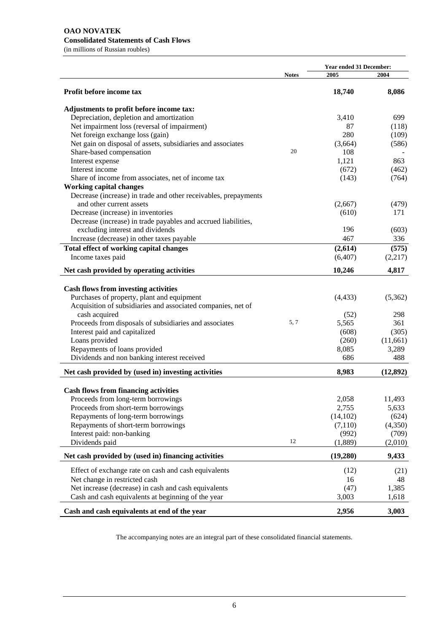(in millions of Russian roubles)

|                                                                 |              | <b>Year ended 31 December:</b> |           |  |
|-----------------------------------------------------------------|--------------|--------------------------------|-----------|--|
|                                                                 | <b>Notes</b> | 2005                           | 2004      |  |
| Profit before income tax                                        |              | 18,740                         | 8,086     |  |
| Adjustments to profit before income tax:                        |              |                                |           |  |
| Depreciation, depletion and amortization                        |              | 3,410                          | 699       |  |
| Net impairment loss (reversal of impairment)                    |              | 87                             | (118)     |  |
| Net foreign exchange loss (gain)                                |              | 280                            | (109)     |  |
| Net gain on disposal of assets, subsidiaries and associates     |              | (3,664)                        | (586)     |  |
| Share-based compensation                                        | 20           | 108                            |           |  |
| Interest expense                                                |              | 1,121                          | 863       |  |
| Interest income                                                 |              | (672)                          | (462)     |  |
| Share of income from associates, net of income tax              |              | (143)                          | (764)     |  |
| <b>Working capital changes</b>                                  |              |                                |           |  |
| Decrease (increase) in trade and other receivables, prepayments |              |                                |           |  |
| and other current assets                                        |              | (2,667)                        | (479)     |  |
| Decrease (increase) in inventories                              |              | (610)                          | 171       |  |
| Decrease (increase) in trade payables and accrued liabilities,  |              |                                |           |  |
| excluding interest and dividends                                |              | 196                            | (603)     |  |
| Increase (decrease) in other taxes payable                      |              | 467                            | 336       |  |
| Total effect of working capital changes                         |              | (2,614)                        | (575)     |  |
| Income taxes paid                                               |              | (6,407)                        | (2,217)   |  |
| Net cash provided by operating activities                       |              | 10,246                         | 4,817     |  |
|                                                                 |              |                                |           |  |
| <b>Cash flows from investing activities</b>                     |              |                                |           |  |
| Purchases of property, plant and equipment                      |              | (4, 433)                       | (5,362)   |  |
| Acquisition of subsidiaries and associated companies, net of    |              |                                |           |  |
| cash acquired                                                   |              | (52)                           | 298       |  |
| Proceeds from disposals of subsidiaries and associates          | 5, 7         | 5,565                          | 361       |  |
| Interest paid and capitalized                                   |              | (608)                          | (305)     |  |
| Loans provided                                                  |              | (260)                          | (11,661)  |  |
| Repayments of loans provided                                    |              | 8,085                          | 3,289     |  |
| Dividends and non banking interest received                     |              | 686                            | 488       |  |
| Net cash provided by (used in) investing activities             |              | 8,983                          | (12, 892) |  |
|                                                                 |              |                                |           |  |
| <b>Cash flows from financing activities</b>                     |              |                                |           |  |
| Proceeds from long-term borrowings                              |              | 2,058                          | 11,493    |  |
| Proceeds from short-term borrowings                             |              | 2,755                          | 5,633     |  |
| Repayments of long-term borrowings                              |              | (14, 102)                      | (624)     |  |
| Repayments of short-term borrowings                             |              | (7,110)                        | (4,350)   |  |
| Interest paid: non-banking                                      |              | (992)                          | (709)     |  |
| Dividends paid                                                  | 12           | (1,889)                        | (2,010)   |  |
| Net cash provided by (used in) financing activities             |              | (19,280)                       | 9,433     |  |
| Effect of exchange rate on cash and cash equivalents            |              | (12)                           | (21)      |  |
| Net change in restricted cash                                   |              | 16                             | 48        |  |
| Net increase (decrease) in cash and cash equivalents            |              | (47)                           | 1,385     |  |
| Cash and cash equivalents at beginning of the year              |              | 3,003                          | 1,618     |  |
|                                                                 |              |                                |           |  |
| Cash and cash equivalents at end of the year                    |              | 2,956                          | 3,003     |  |

The accompanying notes are an integral part of these consolidated financial statements.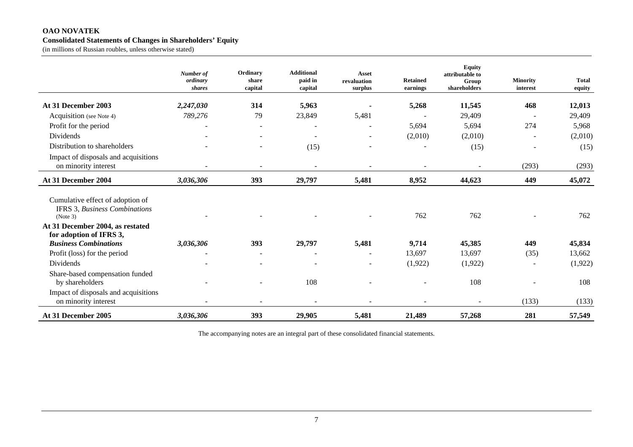#### **OAO NOVATEK Consolidated Statements of Changes in Shareholders' Equity**

(in millions of Russian roubles, unless otherwise stated)

|                                                                                                                          | Number of<br>ordinary<br>shares | Ordinary<br>share<br>capital | <b>Additional</b><br>paid in<br>capital | <b>Asset</b><br>revaluation<br>surplus | <b>Retained</b><br>earnings | <b>Equity</b><br>attributable to<br>Group<br>shareholders | <b>Minority</b><br>interest | <b>Total</b><br>equity |
|--------------------------------------------------------------------------------------------------------------------------|---------------------------------|------------------------------|-----------------------------------------|----------------------------------------|-----------------------------|-----------------------------------------------------------|-----------------------------|------------------------|
| At 31 December 2003                                                                                                      | 2,247,030                       | 314                          | 5,963                                   |                                        | 5,268                       | 11,545                                                    | 468                         | 12,013                 |
| Acquisition (see Note 4)                                                                                                 | 789,276                         | 79                           | 23,849                                  | 5,481                                  |                             | 29,409                                                    |                             | 29,409                 |
| Profit for the period                                                                                                    |                                 | $\blacksquare$               |                                         | $\blacksquare$                         | 5,694                       | 5,694                                                     | 274                         | 5,968                  |
| Dividends                                                                                                                |                                 |                              |                                         | $\overline{\phantom{a}}$               | (2,010)                     | (2,010)                                                   |                             | (2,010)                |
| Distribution to shareholders                                                                                             |                                 |                              | (15)                                    | $\overline{\phantom{a}}$               |                             | (15)                                                      |                             | (15)                   |
| Impact of disposals and acquisitions<br>on minority interest                                                             |                                 |                              |                                         |                                        |                             |                                                           | (293)                       | (293)                  |
| At 31 December 2004                                                                                                      | 3,036,306                       | 393                          | 29,797                                  | 5,481                                  | 8,952                       | 44,623                                                    | 449                         | 45,072                 |
| Cumulative effect of adoption of<br><b>IFRS 3, Business Combinations</b><br>(Note 3)<br>At 31 December 2004, as restated |                                 |                              |                                         |                                        | 762                         | 762                                                       |                             | 762                    |
| for adoption of IFRS 3,                                                                                                  |                                 |                              |                                         |                                        |                             |                                                           |                             |                        |
| <b>Business Combinations</b>                                                                                             | 3,036,306                       | 393                          | 29,797                                  | 5,481                                  | 9,714                       | 45,385                                                    | 449                         | 45,834                 |
| Profit (loss) for the period                                                                                             |                                 | $\overline{a}$               |                                         | $\blacksquare$                         | 13,697                      | 13,697                                                    | (35)                        | 13,662                 |
| Dividends                                                                                                                |                                 |                              |                                         | $\overline{\phantom{a}}$               | (1,922)                     | (1,922)                                                   |                             | (1,922)                |
| Share-based compensation funded<br>by shareholders                                                                       |                                 |                              | 108                                     |                                        |                             | 108                                                       |                             | 108                    |
| Impact of disposals and acquisitions<br>on minority interest                                                             |                                 |                              |                                         |                                        |                             |                                                           | (133)                       | (133)                  |
| At 31 December 2005                                                                                                      | 3,036,306                       | 393                          | 29,905                                  | 5,481                                  | 21,489                      | 57,268                                                    | 281                         | 57,549                 |

The accompanying notes are an integral part of these consolidated financial statements.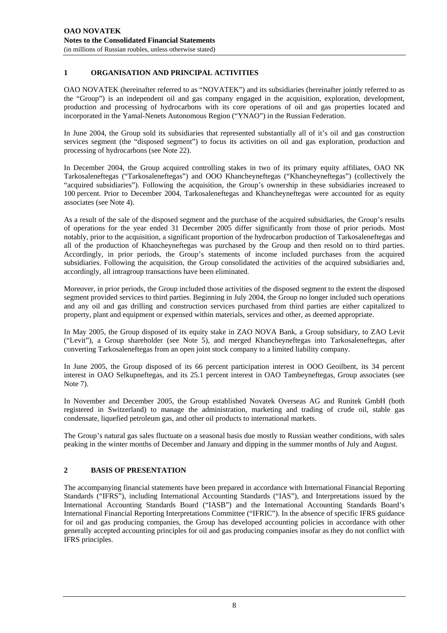## **1 ORGANISATION AND PRINCIPAL ACTIVITIES**

OAO NOVATEK (hereinafter referred to as "NOVATEK") and its subsidiaries (hereinafter jointly referred to as the "Group") is an independent oil and gas company engaged in the acquisition, exploration, development, production and processing of hydrocarbons with its core operations of oil and gas properties located and incorporated in the Yamal-Nenets Autonomous Region ("YNAO") in the Russian Federation.

In June 2004, the Group sold its subsidiaries that represented substantially all of it's oil and gas construction services segment (the "disposed segment") to focus its activities on oil and gas exploration, production and processing of hydrocarbons (see Note 22).

In December 2004, the Group acquired controlling stakes in two of its primary equity affiliates, OAO NK Tarkosaleneftegas ("Tarkosaleneftegas") and OOO Khancheyneftegas ("Khancheyneftegas") (collectively the "acquired subsidiaries"). Following the acquisition, the Group's ownership in these subsidiaries increased to 100 percent. Prior to December 2004, Tarkosaleneftegas and Khancheyneftegas were accounted for as equity associates (see Note 4).

As a result of the sale of the disposed segment and the purchase of the acquired subsidiaries, the Group's results of operations for the year ended 31 December 2005 differ significantly from those of prior periods. Most notably, prior to the acquisition, a significant proportion of the hydrocarbon production of Tarkosaleneftegas and all of the production of Khancheyneftegas was purchased by the Group and then resold on to third parties. Accordingly, in prior periods, the Group's statements of income included purchases from the acquired subsidiaries. Following the acquisition, the Group consolidated the activities of the acquired subsidiaries and, accordingly, all intragroup transactions have been eliminated.

Moreover, in prior periods, the Group included those activities of the disposed segment to the extent the disposed segment provided services to third parties. Beginning in July 2004, the Group no longer included such operations and any oil and gas drilling and construction services purchased from third parties are either capitalized to property, plant and equipment or expensed within materials, services and other, as deemed appropriate.

In May 2005, the Group disposed of its equity stake in ZAO NOVA Bank, a Group subsidiary, to ZAO Levit ("Levit"), a Group shareholder (see Note 5), and merged Khancheyneftegas into Tarkosaleneftegas, after converting Tarkosaleneftegas from an open joint stock company to a limited liability company.

In June 2005, the Group disposed of its 66 percent participation interest in OOO Geoilbent, its 34 percent interest in OAO Selkupneftegas, and its 25.1 percent interest in OAO Tambeyneftegas, Group associates (see Note 7).

In November and December 2005, the Group established Novatek Overseas AG and Runitek GmbH (both registered in Switzerland) to manage the administration, marketing and trading of crude oil, stable gas condensate, liquefied petroleum gas, and other oil products to international markets.

The Group's natural gas sales fluctuate on a seasonal basis due mostly to Russian weather conditions, with sales peaking in the winter months of December and January and dipping in the summer months of July and August.

## **2 BASIS OF PRESENTATION**

The accompanying financial statements have been prepared in accordance with International Financial Reporting Standards ("IFRS"), including International Accounting Standards ("IAS"), and Interpretations issued by the International Accounting Standards Board ("IASB") and the International Accounting Standards Board's International Financial Reporting Interpretations Committee ("IFRIC"). In the absence of specific IFRS guidance for oil and gas producing companies, the Group has developed accounting policies in accordance with other generally accepted accounting principles for oil and gas producing companies insofar as they do not conflict with IFRS principles.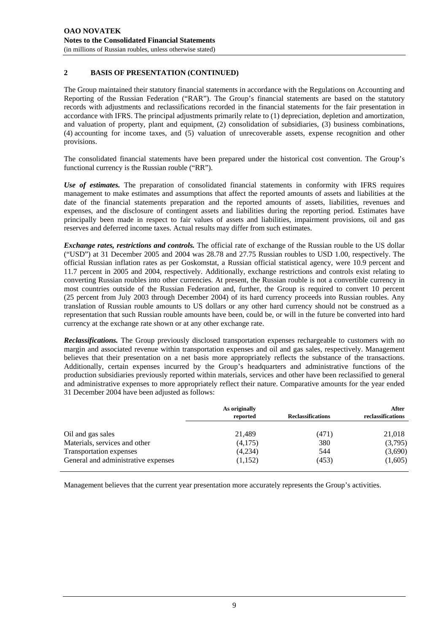#### **2 BASIS OF PRESENTATION (CONTINUED)**

The Group maintained their statutory financial statements in accordance with the Regulations on Accounting and Reporting of the Russian Federation ("RAR"). The Group's financial statements are based on the statutory records with adjustments and reclassifications recorded in the financial statements for the fair presentation in accordance with IFRS. The principal adjustments primarily relate to (1) depreciation, depletion and amortization, and valuation of property, plant and equipment, (2) consolidation of subsidiaries, (3) business combinations, (4) accounting for income taxes, and (5) valuation of unrecoverable assets, expense recognition and other provisions.

The consolidated financial statements have been prepared under the historical cost convention. The Group's functional currency is the Russian rouble ("RR").

*Use of estimates.* The preparation of consolidated financial statements in conformity with IFRS requires management to make estimates and assumptions that affect the reported amounts of assets and liabilities at the date of the financial statements preparation and the reported amounts of assets, liabilities, revenues and expenses, and the disclosure of contingent assets and liabilities during the reporting period. Estimates have principally been made in respect to fair values of assets and liabilities, impairment provisions, oil and gas reserves and deferred income taxes. Actual results may differ from such estimates.

*Exchange rates, restrictions and controls.* The official rate of exchange of the Russian rouble to the US dollar ("USD") at 31 December 2005 and 2004 was 28.78 and 27.75 Russian roubles to USD 1.00, respectively. The official Russian inflation rates as per Goskomstat, a Russian official statistical agency, were 10.9 percent and 11.7 percent in 2005 and 2004, respectively. Additionally, exchange restrictions and controls exist relating to converting Russian roubles into other currencies. At present, the Russian rouble is not a convertible currency in most countries outside of the Russian Federation and, further, the Group is required to convert 10 percent (25 percent from July 2003 through December 2004) of its hard currency proceeds into Russian roubles. Any translation of Russian rouble amounts to US dollars or any other hard currency should not be construed as a representation that such Russian rouble amounts have been, could be, or will in the future be converted into hard currency at the exchange rate shown or at any other exchange rate.

*Reclassifications.* The Group previously disclosed transportation expenses rechargeable to customers with no margin and associated revenue within transportation expenses and oil and gas sales, respectively. Management believes that their presentation on a net basis more appropriately reflects the substance of the transactions. Additionally, certain expenses incurred by the Group's headquarters and administrative functions of the production subsidiaries previously reported within materials, services and other have been reclassified to general and administrative expenses to more appropriately reflect their nature. Comparative amounts for the year ended 31 December 2004 have been adjusted as follows:

|                                     | As originally<br>reported | <b>Reclassifications</b> | After<br>reclassifications |
|-------------------------------------|---------------------------|--------------------------|----------------------------|
| Oil and gas sales                   | 21,489                    | (471)                    | 21,018                     |
| Materials, services and other       | (4,175)                   | 380                      | (3,795)                    |
| Transportation expenses             | (4,234)                   | 544                      | (3,690)                    |
| General and administrative expenses | (1,152)                   | (453)                    | (1,605)                    |

Management believes that the current year presentation more accurately represents the Group's activities.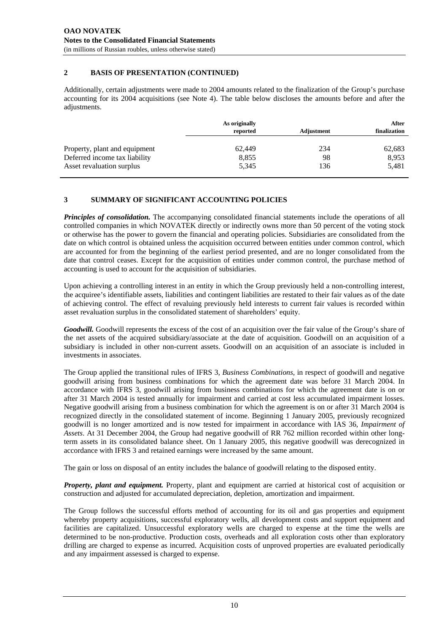#### **2 BASIS OF PRESENTATION (CONTINUED)**

Additionally, certain adjustments were made to 2004 amounts related to the finalization of the Group's purchase accounting for its 2004 acquisitions (see Note 4). The table below discloses the amounts before and after the adjustments.

|                               | As originally<br>reported | Adjustment | After<br>finalization |
|-------------------------------|---------------------------|------------|-----------------------|
| Property, plant and equipment | 62,449                    | 234        | 62,683                |
| Deferred income tax liability | 8,855                     | 98         | 8,953                 |
| Asset revaluation surplus     | 5,345                     | 136        | 5,481                 |

# **3 SUMMARY OF SIGNIFICANT ACCOUNTING POLICIES**

*Principles of consolidation.* The accompanying consolidated financial statements include the operations of all controlled companies in which NOVATEK directly or indirectly owns more than 50 percent of the voting stock or otherwise has the power to govern the financial and operating policies. Subsidiaries are consolidated from the date on which control is obtained unless the acquisition occurred between entities under common control, which are accounted for from the beginning of the earliest period presented, and are no longer consolidated from the date that control ceases. Except for the acquisition of entities under common control, the purchase method of accounting is used to account for the acquisition of subsidiaries.

Upon achieving a controlling interest in an entity in which the Group previously held a non-controlling interest, the acquiree's identifiable assets, liabilities and contingent liabilities are restated to their fair values as of the date of achieving control. The effect of revaluing previously held interests to current fair values is recorded within asset revaluation surplus in the consolidated statement of shareholders' equity.

*Goodwill.* Goodwill represents the excess of the cost of an acquisition over the fair value of the Group's share of the net assets of the acquired subsidiary/associate at the date of acquisition. Goodwill on an acquisition of a subsidiary is included in other non-current assets. Goodwill on an acquisition of an associate is included in investments in associates.

The Group applied the transitional rules of IFRS 3, *Business Combinations*, in respect of goodwill and negative goodwill arising from business combinations for which the agreement date was before 31 March 2004. In accordance with IFRS 3, goodwill arising from business combinations for which the agreement date is on or after 31 March 2004 is tested annually for impairment and carried at cost less accumulated impairment losses. Negative goodwill arising from a business combination for which the agreement is on or after 31 March 2004 is recognized directly in the consolidated statement of income. Beginning 1 January 2005, previously recognized goodwill is no longer amortized and is now tested for impairment in accordance with IAS 36, *Impairment of Assets*. At 31 December 2004, the Group had negative goodwill of RR 762 million recorded within other longterm assets in its consolidated balance sheet. On 1 January 2005, this negative goodwill was derecognized in accordance with IFRS 3 and retained earnings were increased by the same amount.

The gain or loss on disposal of an entity includes the balance of goodwill relating to the disposed entity.

*Property, plant and equipment.* Property, plant and equipment are carried at historical cost of acquisition or construction and adjusted for accumulated depreciation, depletion, amortization and impairment.

The Group follows the successful efforts method of accounting for its oil and gas properties and equipment whereby property acquisitions, successful exploratory wells, all development costs and support equipment and facilities are capitalized. Unsuccessful exploratory wells are charged to expense at the time the wells are determined to be non-productive. Production costs, overheads and all exploration costs other than exploratory drilling are charged to expense as incurred. Acquisition costs of unproved properties are evaluated periodically and any impairment assessed is charged to expense.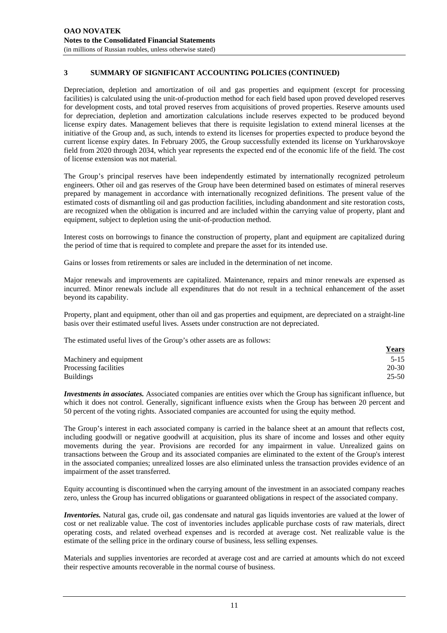Depreciation, depletion and amortization of oil and gas properties and equipment (except for processing facilities) is calculated using the unit-of-production method for each field based upon proved developed reserves for development costs, and total proved reserves from acquisitions of proved properties. Reserve amounts used for depreciation, depletion and amortization calculations include reserves expected to be produced beyond license expiry dates. Management believes that there is requisite legislation to extend mineral licenses at the initiative of the Group and, as such, intends to extend its licenses for properties expected to produce beyond the current license expiry dates. In February 2005, the Group successfully extended its license on Yurkharovskoye field from 2020 through 2034, which year represents the expected end of the economic life of the field. The cost of license extension was not material.

The Group's principal reserves have been independently estimated by internationally recognized petroleum engineers. Other oil and gas reserves of the Group have been determined based on estimates of mineral reserves prepared by management in accordance with internationally recognized definitions. The present value of the estimated costs of dismantling oil and gas production facilities, including abandonment and site restoration costs, are recognized when the obligation is incurred and are included within the carrying value of property, plant and equipment, subject to depletion using the unit-of-production method.

Interest costs on borrowings to finance the construction of property, plant and equipment are capitalized during the period of time that is required to complete and prepare the asset for its intended use.

Gains or losses from retirements or sales are included in the determination of net income.

Major renewals and improvements are capitalized. Maintenance, repairs and minor renewals are expensed as incurred. Minor renewals include all expenditures that do not result in a technical enhancement of the asset beyond its capability.

Property, plant and equipment, other than oil and gas properties and equipment, are depreciated on a straight-line basis over their estimated useful lives. Assets under construction are not depreciated.

The estimated useful lives of the Group's other assets are as follows:

|                         | <u>Years</u> |
|-------------------------|--------------|
| Machinery and equipment | $5 - 15$     |
| Processing facilities   | 20-30        |
| <b>Buildings</b>        | $25 - 50$    |

*Investments in associates.* Associated companies are entities over which the Group has significant influence, but which it does not control. Generally, significant influence exists when the Group has between 20 percent and 50 percent of the voting rights. Associated companies are accounted for using the equity method.

The Group's interest in each associated company is carried in the balance sheet at an amount that reflects cost, including goodwill or negative goodwill at acquisition, plus its share of income and losses and other equity movements during the year. Provisions are recorded for any impairment in value. Unrealized gains on transactions between the Group and its associated companies are eliminated to the extent of the Group's interest in the associated companies; unrealized losses are also eliminated unless the transaction provides evidence of an impairment of the asset transferred.

Equity accounting is discontinued when the carrying amount of the investment in an associated company reaches zero, unless the Group has incurred obligations or guaranteed obligations in respect of the associated company.

*Inventories.* Natural gas, crude oil, gas condensate and natural gas liquids inventories are valued at the lower of cost or net realizable value. The cost of inventories includes applicable purchase costs of raw materials, direct operating costs, and related overhead expenses and is recorded at average cost. Net realizable value is the estimate of the selling price in the ordinary course of business, less selling expenses.

Materials and supplies inventories are recorded at average cost and are carried at amounts which do not exceed their respective amounts recoverable in the normal course of business.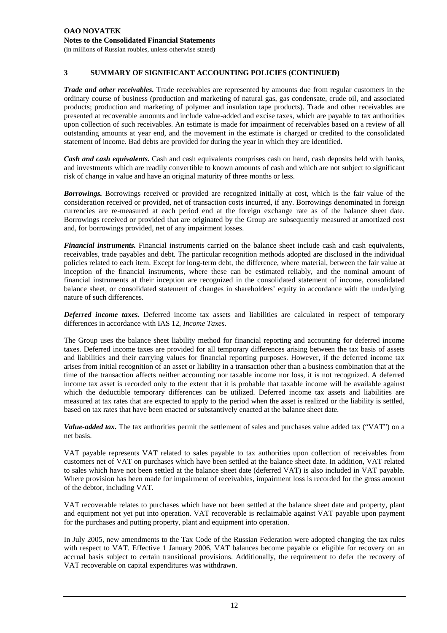*Trade and other receivables.* Trade receivables are represented by amounts due from regular customers in the ordinary course of business (production and marketing of natural gas, gas condensate, crude oil, and associated products; production and marketing of polymer and insulation tape products). Trade and other receivables are presented at recoverable amounts and include value-added and excise taxes, which are payable to tax authorities upon collection of such receivables. An estimate is made for impairment of receivables based on a review of all outstanding amounts at year end, and the movement in the estimate is charged or credited to the consolidated statement of income. Bad debts are provided for during the year in which they are identified.

*Cash and cash equivalents.* Cash and cash equivalents comprises cash on hand, cash deposits held with banks, and investments which are readily convertible to known amounts of cash and which are not subject to significant risk of change in value and have an original maturity of three months or less.

*Borrowings.* Borrowings received or provided are recognized initially at cost, which is the fair value of the consideration received or provided, net of transaction costs incurred, if any. Borrowings denominated in foreign currencies are re-measured at each period end at the foreign exchange rate as of the balance sheet date. Borrowings received or provided that are originated by the Group are subsequently measured at amortized cost and, for borrowings provided, net of any impairment losses.

*Financial instruments.* Financial instruments carried on the balance sheet include cash and cash equivalents, receivables, trade payables and debt. The particular recognition methods adopted are disclosed in the individual policies related to each item. Except for long-term debt, the difference, where material, between the fair value at inception of the financial instruments, where these can be estimated reliably, and the nominal amount of financial instruments at their inception are recognized in the consolidated statement of income, consolidated balance sheet, or consolidated statement of changes in shareholders' equity in accordance with the underlying nature of such differences.

*Deferred income taxes.* Deferred income tax assets and liabilities are calculated in respect of temporary differences in accordance with IAS 12, *Income Taxes*.

The Group uses the balance sheet liability method for financial reporting and accounting for deferred income taxes. Deferred income taxes are provided for all temporary differences arising between the tax basis of assets and liabilities and their carrying values for financial reporting purposes. However, if the deferred income tax arises from initial recognition of an asset or liability in a transaction other than a business combination that at the time of the transaction affects neither accounting nor taxable income nor loss, it is not recognized. A deferred income tax asset is recorded only to the extent that it is probable that taxable income will be available against which the deductible temporary differences can be utilized. Deferred income tax assets and liabilities are measured at tax rates that are expected to apply to the period when the asset is realized or the liability is settled, based on tax rates that have been enacted or substantively enacted at the balance sheet date.

*Value-added tax.* The tax authorities permit the settlement of sales and purchases value added tax ("VAT") on a net basis.

VAT payable represents VAT related to sales payable to tax authorities upon collection of receivables from customers net of VAT on purchases which have been settled at the balance sheet date. In addition, VAT related to sales which have not been settled at the balance sheet date (deferred VAT) is also included in VAT payable. Where provision has been made for impairment of receivables, impairment loss is recorded for the gross amount of the debtor, including VAT.

VAT recoverable relates to purchases which have not been settled at the balance sheet date and property, plant and equipment not yet put into operation. VAT recoverable is reclaimable against VAT payable upon payment for the purchases and putting property, plant and equipment into operation.

In July 2005, new amendments to the Tax Code of the Russian Federation were adopted changing the tax rules with respect to VAT. Effective 1 January 2006, VAT balances become payable or eligible for recovery on an accrual basis subject to certain transitional provisions. Additionally, the requirement to defer the recovery of VAT recoverable on capital expenditures was withdrawn.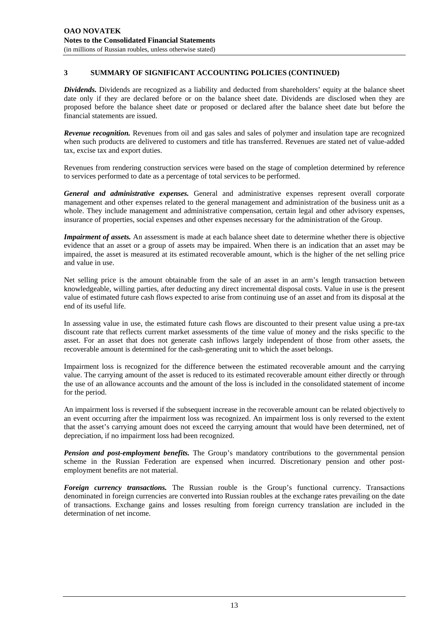*Dividends.* Dividends are recognized as a liability and deducted from shareholders' equity at the balance sheet date only if they are declared before or on the balance sheet date. Dividends are disclosed when they are proposed before the balance sheet date or proposed or declared after the balance sheet date but before the financial statements are issued.

*Revenue recognition.* Revenues from oil and gas sales and sales of polymer and insulation tape are recognized when such products are delivered to customers and title has transferred. Revenues are stated net of value-added tax, excise tax and export duties.

Revenues from rendering construction services were based on the stage of completion determined by reference to services performed to date as a percentage of total services to be performed.

*General and administrative expenses.* General and administrative expenses represent overall corporate management and other expenses related to the general management and administration of the business unit as a whole. They include management and administrative compensation, certain legal and other advisory expenses, insurance of properties, social expenses and other expenses necessary for the administration of the Group.

*Impairment of assets.* An assessment is made at each balance sheet date to determine whether there is objective evidence that an asset or a group of assets may be impaired. When there is an indication that an asset may be impaired, the asset is measured at its estimated recoverable amount, which is the higher of the net selling price and value in use.

Net selling price is the amount obtainable from the sale of an asset in an arm's length transaction between knowledgeable, willing parties, after deducting any direct incremental disposal costs. Value in use is the present value of estimated future cash flows expected to arise from continuing use of an asset and from its disposal at the end of its useful life.

In assessing value in use, the estimated future cash flows are discounted to their present value using a pre-tax discount rate that reflects current market assessments of the time value of money and the risks specific to the asset. For an asset that does not generate cash inflows largely independent of those from other assets, the recoverable amount is determined for the cash-generating unit to which the asset belongs.

Impairment loss is recognized for the difference between the estimated recoverable amount and the carrying value. The carrying amount of the asset is reduced to its estimated recoverable amount either directly or through the use of an allowance accounts and the amount of the loss is included in the consolidated statement of income for the period.

An impairment loss is reversed if the subsequent increase in the recoverable amount can be related objectively to an event occurring after the impairment loss was recognized. An impairment loss is only reversed to the extent that the asset's carrying amount does not exceed the carrying amount that would have been determined, net of depreciation, if no impairment loss had been recognized.

*Pension and post-employment benefits.* The Group's mandatory contributions to the governmental pension scheme in the Russian Federation are expensed when incurred. Discretionary pension and other postemployment benefits are not material.

*Foreign currency transactions.* The Russian rouble is the Group's functional currency. Transactions denominated in foreign currencies are converted into Russian roubles at the exchange rates prevailing on the date of transactions. Exchange gains and losses resulting from foreign currency translation are included in the determination of net income.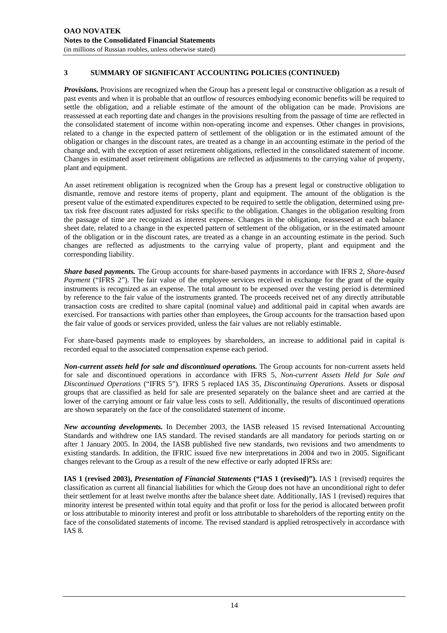*Provisions.* Provisions are recognized when the Group has a present legal or constructive obligation as a result of past events and when it is probable that an outflow of resources embodying economic benefits will be required to settle the obligation, and a reliable estimate of the amount of the obligation can be made. Provisions are reassessed at each reporting date and changes in the provisions resulting from the passage of time are reflected in the consolidated statement of income within non-operating income and expenses. Other changes in provisions, related to a change in the expected pattern of settlement of the obligation or in the estimated amount of the obligation or changes in the discount rates, are treated as a change in an accounting estimate in the period of the change and, with the exception of asset retirement obligations, reflected in the consolidated statement of income. Changes in estimated asset retirement obligations are reflected as adjustments to the carrying value of property, plant and equipment.

An asset retirement obligation is recognized when the Group has a present legal or constructive obligation to dismantle, remove and restore items of property, plant and equipment. The amount of the obligation is the present value of the estimated expenditures expected to be required to settle the obligation, determined using pretax risk free discount rates adjusted for risks specific to the obligation. Changes in the obligation resulting from the passage of time are recognized as interest expense. Changes in the obligation, reassessed at each balance sheet date, related to a change in the expected pattern of settlement of the obligation, or in the estimated amount of the obligation or in the discount rates, are treated as a change in an accounting estimate in the period. Such changes are reflected as adjustments to the carrying value of property, plant and equipment and the corresponding liability.

*Share based payments.* The Group accounts for share-based payments in accordance with IFRS 2, *Share-based Payment* ("IFRS 2"). The fair value of the employee services received in exchange for the grant of the equity instruments is recognized as an expense. The total amount to be expensed over the vesting period is determined by reference to the fair value of the instruments granted. The proceeds received net of any directly attributable transaction costs are credited to share capital (nominal value) and additional paid in capital when awards are exercised. For transactions with parties other than employees, the Group accounts for the transaction based upon the fair value of goods or services provided, unless the fair values are not reliably estimable.

For share-based payments made to employees by shareholders, an increase to additional paid in capital is recorded equal to the associated compensation expense each period.

*Non-current assets held for sale and discontinued operations.* The Group accounts for non-current assets held for sale and discontinued operations in accordance with IFRS 5, *Non-current Assets Held for Sale and Discontinued Operations* ("IFRS 5")*.* IFRS 5 replaced IAS 35, *Discontinuing Operations*. Assets or disposal groups that are classified as held for sale are presented separately on the balance sheet and are carried at the lower of the carrying amount or fair value less costs to sell. Additionally, the results of discontinued operations are shown separately on the face of the consolidated statement of income.

*New accounting developments.* In December 2003, the IASB released 15 revised International Accounting Standards and withdrew one IAS standard. The revised standards are all mandatory for periods starting on or after 1 January 2005. In 2004, the IASB published five new standards, two revisions and two amendments to existing standards. In addition, the IFRIC issued five new interpretations in 2004 and two in 2005. Significant changes relevant to the Group as a result of the new effective or early adopted IFRSs are:

**IAS 1 (revised 2003),** *Presentation of Financial Statements* **("IAS 1 (revised)").** IAS 1 (revised) requires the classification as current all financial liabilities for which the Group does not have an unconditional right to defer their settlement for at least twelve months after the balance sheet date. Additionally, IAS 1 (revised) requires that minority interest be presented within total equity and that profit or loss for the period is allocated between profit or loss attributable to minority interest and profit or loss attributable to shareholders of the reporting entity on the face of the consolidated statements of income. The revised standard is applied retrospectively in accordance with IAS 8.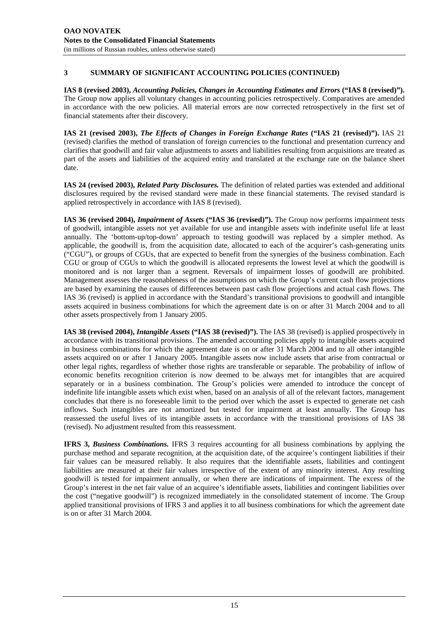**IAS 8 (revised 2003),** *Accounting Policies, Changes in Accounting Estimates and Errors* **("IAS 8 (revised)").** The Group now applies all voluntary changes in accounting policies retrospectively. Comparatives are amended in accordance with the new policies. All material errors are now corrected retrospectively in the first set of financial statements after their discovery.

**IAS 21 (revised 2003),** *The Effects of Changes in Foreign Exchange Rates* **("IAS 21 (revised)").** IAS 21 (revised) clarifies the method of translation of foreign currencies to the functional and presentation currency and clarifies that goodwill and fair value adjustments to assets and liabilities resulting from acquisitions are treated as part of the assets and liabilities of the acquired entity and translated at the exchange rate on the balance sheet date.

**IAS 24 (revised 2003),** *Related Party Disclosures.* The definition of related parties was extended and additional disclosures required by the revised standard were made in these financial statements. The revised standard is applied retrospectively in accordance with IAS 8 (revised).

**IAS 36 (revised 2004),** *Impairment of Assets* **("IAS 36 (revised)").** The Group now performs impairment tests of goodwill, intangible assets not yet available for use and intangible assets with indefinite useful life at least annually. The 'bottom-up/top-down' approach to testing goodwill was replaced by a simpler method. As applicable, the goodwill is, from the acquisition date, allocated to each of the acquirer's cash-generating units ("CGU"), or groups of CGUs, that are expected to benefit from the synergies of the business combination. Each CGU or group of CGUs to which the goodwill is allocated represents the lowest level at which the goodwill is monitored and is not larger than a segment. Reversals of impairment losses of goodwill are prohibited. Management assesses the reasonableness of the assumptions on which the Group's current cash flow projections are based by examining the causes of differences between past cash flow projections and actual cash flows. The IAS 36 (revised) is applied in accordance with the Standard's transitional provisions to goodwill and intangible assets acquired in business combinations for which the agreement date is on or after 31 March 2004 and to all other assets prospectively from 1 January 2005.

**IAS 38 (revised 2004),** *Intangible Assets* **("IAS 38 (revised)").** The IAS 38 (revised) is applied prospectively in accordance with its transitional provisions. The amended accounting policies apply to intangible assets acquired in business combinations for which the agreement date is on or after 31 March 2004 and to all other intangible assets acquired on or after 1 January 2005. Intangible assets now include assets that arise from contractual or other legal rights, regardless of whether those rights are transferable or separable. The probability of inflow of economic benefits recognition criterion is now deemed to be always met for intangibles that are acquired separately or in a business combination. The Group's policies were amended to introduce the concept of indefinite life intangible assets which exist when, based on an analysis of all of the relevant factors, management concludes that there is no foreseeable limit to the period over which the asset is expected to generate net cash inflows. Such intangibles are not amortized but tested for impairment at least annually. The Group has reassessed the useful lives of its intangible assets in accordance with the transitional provisions of IAS 38 (revised). No adjustment resulted from this reassessment.

**IFRS 3,** *Business Combinations.* IFRS 3 requires accounting for all business combinations by applying the purchase method and separate recognition, at the acquisition date, of the acquiree's contingent liabilities if their fair values can be measured reliably. It also requires that the identifiable assets, liabilities and contingent liabilities are measured at their fair values irrespective of the extent of any minority interest. Any resulting goodwill is tested for impairment annually, or when there are indications of impairment. The excess of the Group's interest in the net fair value of an acquiree's identifiable assets, liabilities and contingent liabilities over the cost ("negative goodwill") is recognized immediately in the consolidated statement of income. The Group applied transitional provisions of IFRS 3 and applies it to all business combinations for which the agreement date is on or after 31 March 2004.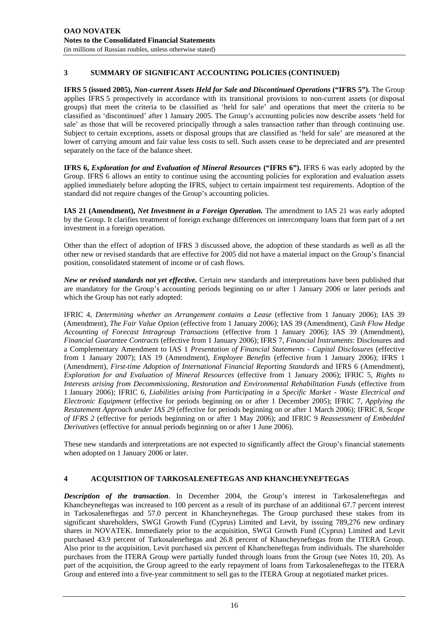**IFRS 5 (issued 2005),** *Non-current Assets Held for Sale and Discontinued Operations* **("IFRS 5").** The Group applies IFRS 5 prospectively in accordance with its transitional provisions to non-current assets (or disposal groups) that meet the criteria to be classified as 'held for sale' and operations that meet the criteria to be classified as 'discontinued' after 1 January 2005. The Group's accounting policies now describe assets 'held for sale' as those that will be recovered principally through a sales transaction rather than through continuing use. Subject to certain exceptions, assets or disposal groups that are classified as 'held for sale' are measured at the lower of carrying amount and fair value less costs to sell. Such assets cease to be depreciated and are presented separately on the face of the balance sheet.

**IFRS 6,** *Exploration for and Evaluation of Mineral Resources* **("IFRS 6").** IFRS 6 was early adopted by the Group. IFRS 6 allows an entity to continue using the accounting policies for exploration and evaluation assets applied immediately before adopting the IFRS, subject to certain impairment test requirements. Adoption of the standard did not require changes of the Group's accounting policies.

**IAS 21 (Amendment),** *Net Investment in a Foreign Operation.* The amendment to IAS 21 was early adopted by the Group. It clarifies treatment of foreign exchange differences on intercompany loans that form part of a net investment in a foreign operation.

Other than the effect of adoption of IFRS 3 discussed above, the adoption of these standards as well as all the other new or revised standards that are effective for 2005 did not have a material impact on the Group's financial position, consolidated statement of income or of cash flows.

*New or revised standards not yet effective.* Certain new standards and interpretations have been published that are mandatory for the Group's accounting periods beginning on or after 1 January 2006 or later periods and which the Group has not early adopted:

IFRIC 4, *Determining whether an Arrangement contains a Lease* (effective from 1 January 2006); IAS 39 (Amendment), *The Fair Value Option* (effective from 1 January 2006); IAS 39 (Amendment), *Cash Flow Hedge Accounting of Forecast Intragroup Transactions* (effective from 1 January 2006); IAS 39 (Amendment), *Financial Guarantee Contracts* (effective from 1 January 2006); IFRS 7, *Financial Instruments*: Disclosures and a Complementary Amendment to IAS 1 *Presentation of Financial Statements - Capital Disclosures* (effective from 1 January 2007); IAS 19 (Amendment), *Employee Benefits* (effective from 1 January 2006); IFRS 1 (Amendment), *First-time Adoption of International Financial Reporting Standards* and IFRS 6 (Amendment), *Exploration for and Evaluation of Mineral Resources* (effective from 1 January 2006); IFRIC 5, *Rights to Interests arising from Decommissioning, Restoration and Environmental Rehabilitation Funds* (effective from 1 January 2006); IFRIC 6, *Liabilities arising from Participating in a Specific Market - Waste Electrical and Electronic Equipment* (effective for periods beginning on or after 1 December 2005); IFRIC 7, *Applying the Restatement Approach under IAS 29* (effective for periods beginning on or after 1 March 2006); IFRIC 8, *Scope of IFRS 2* (effective for periods beginning on or after 1 May 2006); and IFRIC 9 *Reassessment of Embedded Derivatives* (effective for annual periods beginning on or after 1 June 2006).

These new standards and interpretations are not expected to significantly affect the Group's financial statements when adopted on 1 January 2006 or later.

#### **4 ACQUISITION OF TARKOSALENEFTEGAS AND KHANCHEYNEFTEGAS**

*Description of the transaction*. In December 2004, the Group's interest in Tarkosaleneftegas and Khancheyneftegas was increased to 100 percent as a result of its purchase of an additional 67.7 percent interest in Tarkosaleneftegas and 57.0 percent in Khancheyneftegas. The Group purchased these stakes from its significant shareholders, SWGI Growth Fund (Cyprus) Limited and Levit, by issuing 789,276 new ordinary shares in NOVATEK. Immediately prior to the acquisition, SWGI Growth Fund (Cyprus) Limited and Levit purchased 43.9 percent of Tarkosaleneftegas and 26.8 percent of Khancheyneftegas from the ITERA Group. Also prior to the acquisition, Levit purchased six percent of Khancheneftegas from individuals. The shareholder purchases from the ITERA Group were partially funded through loans from the Group (see Notes 10, 20). As part of the acquisition, the Group agreed to the early repayment of loans from Tarkosaleneftegas to the ITERA Group and entered into a five-year commitment to sell gas to the ITERA Group at negotiated market prices.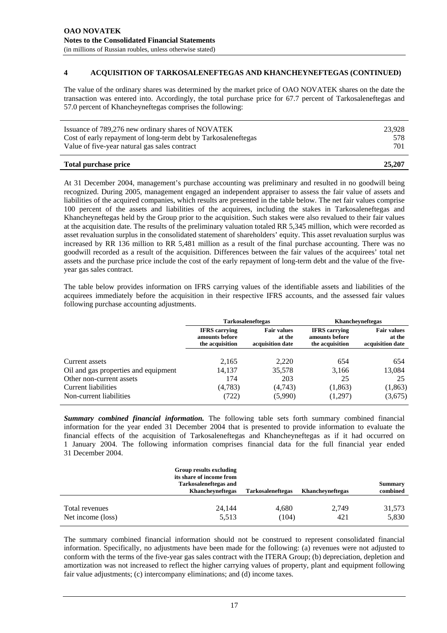#### **4 ACQUISITION OF TARKOSALENEFTEGAS AND KHANCHEYNEFTEGAS (CONTINUED)**

The value of the ordinary shares was determined by the market price of OAO NOVATEK shares on the date the transaction was entered into. Accordingly, the total purchase price for 67.7 percent of Tarkosaleneftegas and 57.0 percent of Khancheyneftegas comprises the following:

| Total purchase price                                           | 25,207 |
|----------------------------------------------------------------|--------|
| Value of five-year natural gas sales contract                  | 701    |
| Cost of early repayment of long-term debt by Tarkosaleneftegas | 578    |
| Issuance of 789,276 new ordinary shares of NOVATEK             | 23.928 |

At 31 December 2004, management's purchase accounting was preliminary and resulted in no goodwill being recognized. During 2005, management engaged an independent appraiser to assess the fair value of assets and liabilities of the acquired companies, which results are presented in the table below. The net fair values comprise 100 percent of the assets and liabilities of the acquirees, including the stakes in Tarkosaleneftegas and Khancheyneftegas held by the Group prior to the acquisition. Such stakes were also revalued to their fair values at the acquisition date. The results of the preliminary valuation totaled RR 5,345 million, which were recorded as asset revaluation surplus in the consolidated statement of shareholders' equity. This asset revaluation surplus was increased by RR 136 million to RR 5,481 million as a result of the final purchase accounting. There was no goodwill recorded as a result of the acquisition. Differences between the fair values of the acquirees' total net assets and the purchase price include the cost of the early repayment of long-term debt and the value of the fiveyear gas sales contract.

The table below provides information on IFRS carrying values of the identifiable assets and liabilities of the acquirees immediately before the acquisition in their respective IFRS accounts, and the assessed fair values following purchase accounting adjustments.

|                                      | <b>Tarkosaleneftegas</b>                                  |                                                  | Khancheyneftegas                                          |                                                  |
|--------------------------------------|-----------------------------------------------------------|--------------------------------------------------|-----------------------------------------------------------|--------------------------------------------------|
|                                      | <b>IFRS</b> carrying<br>amounts before<br>the acquisition | <b>Fair values</b><br>at the<br>acquisition date | <b>IFRS</b> carrying<br>amounts before<br>the acquisition | <b>Fair values</b><br>at the<br>acquisition date |
| Current assets                       | 2,165                                                     | 2,220                                            | 654                                                       | 654                                              |
| Oil and gas properties and equipment | 14,137                                                    | 35,578                                           | 3,166                                                     | 13,084                                           |
| Other non-current assets             | 174                                                       | 203                                              | 25                                                        | 25                                               |
| Current liabilities                  | (4,783)                                                   | (4,743)                                          | (1,863)                                                   | (1,863)                                          |
| Non-current liabilities              | (722)                                                     | (5,990)                                          | (1,297)                                                   | (3,675)                                          |

*Summary combined financial information.* The following table sets forth summary combined financial information for the year ended 31 December 2004 that is presented to provide information to evaluate the financial effects of the acquisition of Tarkosaleneftegas and Khancheyneftegas as if it had occurred on 1 January 2004. The following information comprises financial data for the full financial year ended 31 December 2004.

|                   | Group results excluding<br>its share of income from<br>Tarkosaleneftegas and<br><b>Khanchevneftegas</b> | <b>Tarkosaleneftegas</b> | <b>Khanchevneftegas</b> | Summary<br>combined |
|-------------------|---------------------------------------------------------------------------------------------------------|--------------------------|-------------------------|---------------------|
| Total revenues    | 24,144                                                                                                  | 4,680                    | 2,749                   | 31,573              |
| Net income (loss) | 5.513                                                                                                   | (104)                    | 421                     | 5,830               |

The summary combined financial information should not be construed to represent consolidated financial information. Specifically, no adjustments have been made for the following: (a) revenues were not adjusted to conform with the terms of the five-year gas sales contract with the ITERA Group; (b) depreciation, depletion and amortization was not increased to reflect the higher carrying values of property, plant and equipment following fair value adjustments; (c) intercompany eliminations; and (d) income taxes.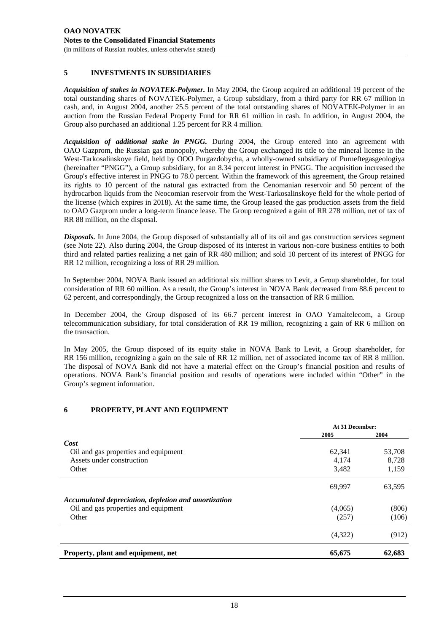#### **5 INVESTMENTS IN SUBSIDIARIES**

*Acquisition of stakes in NOVATEK-Polymer.* In May 2004, the Group acquired an additional 19 percent of the total outstanding shares of NOVATEK-Polymer, a Group subsidiary, from a third party for RR 67 million in cash, and, in August 2004, another 25.5 percent of the total outstanding shares of NOVATEK-Polymer in an auction from the Russian Federal Property Fund for RR 61 million in cash. In addition, in August 2004, the Group also purchased an additional 1.25 percent for RR 4 million.

*Acquisition of additional stake in PNGG.* During 2004, the Group entered into an agreement with OAO Gazprom, the Russian gas monopoly, whereby the Group exchanged its title to the mineral license in the West-Tarkosalinskoye field, held by OOO Purgazdobycha, a wholly-owned subsidiary of Purneftegasgeologiya (hereinafter "PNGG"), a Group subsidiary, for an 8.34 percent interest in PNGG. The acquisition increased the Group's effective interest in PNGG to 78.0 percent. Within the framework of this agreement, the Group retained its rights to 10 percent of the natural gas extracted from the Cenomanian reservoir and 50 percent of the hydrocarbon liquids from the Neocomian reservoir from the West-Tarkosalinskoye field for the whole period of the license (which expires in 2018). At the same time, the Group leased the gas production assets from the field to OAO Gazprom under a long-term finance lease. The Group recognized a gain of RR 278 million, net of tax of RR 88 million, on the disposal.

*Disposals.* In June 2004, the Group disposed of substantially all of its oil and gas construction services segment (see Note 22). Also during 2004, the Group disposed of its interest in various non-core business entities to both third and related parties realizing a net gain of RR 480 million; and sold 10 percent of its interest of PNGG for RR 12 million, recognizing a loss of RR 29 million.

In September 2004, NOVA Bank issued an additional six million shares to Levit, a Group shareholder, for total consideration of RR 60 million. As a result, the Group's interest in NOVA Bank decreased from 88.6 percent to 62 percent, and correspondingly, the Group recognized a loss on the transaction of RR 6 million.

In December 2004, the Group disposed of its 66.7 percent interest in OAO Yamaltelecom, a Group telecommunication subsidiary, for total consideration of RR 19 million, recognizing a gain of RR 6 million on the transaction.

In May 2005, the Group disposed of its equity stake in NOVA Bank to Levit, a Group shareholder, for RR 156 million, recognizing a gain on the sale of RR 12 million, net of associated income tax of RR 8 million. The disposal of NOVA Bank did not have a material effect on the Group's financial position and results of operations. NOVA Bank's financial position and results of operations were included within "Other" in the Group's segment information.

## **6 PROPERTY, PLANT AND EQUIPMENT**

|                                                      | At 31 December: |        |
|------------------------------------------------------|-----------------|--------|
|                                                      | 2005            | 2004   |
| Cost                                                 |                 |        |
| Oil and gas properties and equipment                 | 62,341          | 53,708 |
| Assets under construction                            | 4,174           | 8,728  |
| Other                                                | 3,482           | 1,159  |
|                                                      | 69,997          | 63,595 |
| Accumulated depreciation, depletion and amortization |                 |        |
| Oil and gas properties and equipment                 | (4,065)         | (806)  |
| Other                                                | (257)           | (106)  |
|                                                      | (4,322)         | (912)  |
| Property, plant and equipment, net                   | 65,675          | 62,683 |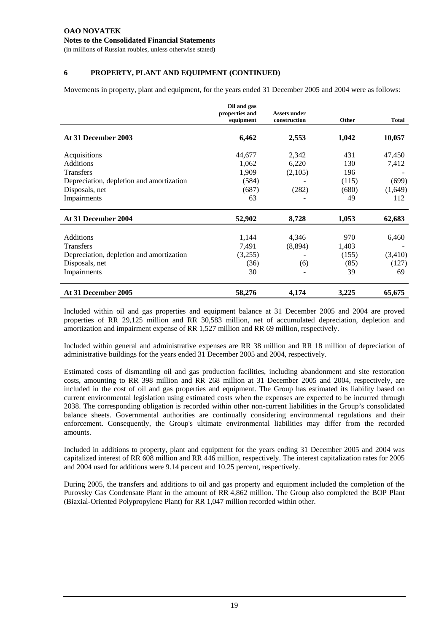## **6 PROPERTY, PLANT AND EQUIPMENT (CONTINUED)**

Movements in property, plant and equipment, for the years ended 31 December 2005 and 2004 were as follows:

|                                          | Oil and gas<br>properties and<br>equipment | Assets under<br>construction | Other | <b>Total</b> |
|------------------------------------------|--------------------------------------------|------------------------------|-------|--------------|
| At 31 December 2003                      | 6,462                                      | 2,553                        | 1,042 | 10,057       |
| Acquisitions                             | 44,677                                     | 2,342                        | 431   | 47,450       |
| Additions                                | 1,062                                      | 6,220                        | 130   | 7,412        |
| <b>Transfers</b>                         | 1,909                                      | (2,105)                      | 196   |              |
| Depreciation, depletion and amortization | (584)                                      |                              | (115) | (699)        |
| Disposals, net                           | (687)                                      | (282)                        | (680) | (1,649)      |
| Impairments                              | 63                                         |                              | 49    | 112          |
| At 31 December 2004                      | 52,902                                     | 8,728                        | 1,053 | 62,683       |
| <b>Additions</b>                         | 1,144                                      | 4,346                        | 970   | 6,460        |
| <b>Transfers</b>                         | 7,491                                      | (8,894)                      | 1,403 |              |
| Depreciation, depletion and amortization | (3,255)                                    |                              | (155) | (3,410)      |
| Disposals, net                           | (36)                                       | (6)                          | (85)  | (127)        |
| Impairments                              | 30                                         |                              | 39    | 69           |
| At 31 December 2005                      | 58,276                                     | 4,174                        | 3,225 | 65,675       |

Included within oil and gas properties and equipment balance at 31 December 2005 and 2004 are proved properties of RR 29,125 million and RR 30,583 million, net of accumulated depreciation, depletion and amortization and impairment expense of RR 1,527 million and RR 69 million, respectively.

Included within general and administrative expenses are RR 38 million and RR 18 million of depreciation of administrative buildings for the years ended 31 December 2005 and 2004, respectively.

Estimated costs of dismantling oil and gas production facilities, including abandonment and site restoration costs, amounting to RR 398 million and RR 268 million at 31 December 2005 and 2004, respectively, are included in the cost of oil and gas properties and equipment. The Group has estimated its liability based on current environmental legislation using estimated costs when the expenses are expected to be incurred through 2038. The corresponding obligation is recorded within other non-current liabilities in the Group's consolidated balance sheets. Governmental authorities are continually considering environmental regulations and their enforcement. Consequently, the Group's ultimate environmental liabilities may differ from the recorded amounts.

Included in additions to property, plant and equipment for the years ending 31 December 2005 and 2004 was capitalized interest of RR 608 million and RR 446 million, respectively. The interest capitalization rates for 2005 and 2004 used for additions were 9.14 percent and 10.25 percent, respectively.

During 2005, the transfers and additions to oil and gas property and equipment included the completion of the Purovsky Gas Condensate Plant in the amount of RR 4,862 million. The Group also completed the BOP Plant (Biaxial-Oriented Polypropylene Plant) for RR 1,047 million recorded within other.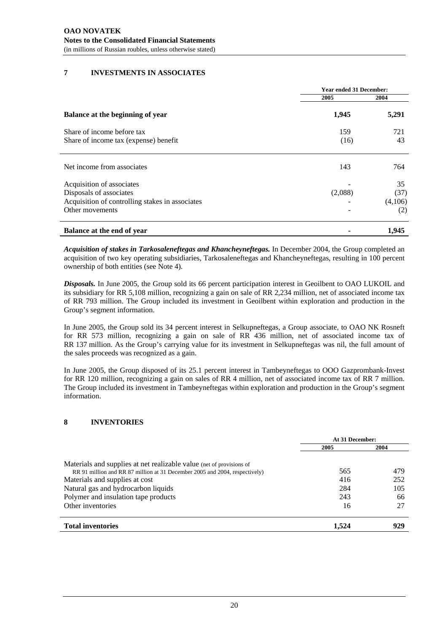## **7 INVESTMENTS IN ASSOCIATES**

|                                                 | <b>Year ended 31 December:</b> |         |
|-------------------------------------------------|--------------------------------|---------|
|                                                 | 2005                           | 2004    |
| Balance at the beginning of year                | 1,945                          | 5,291   |
| Share of income before tax                      | 159                            | 721     |
| Share of income tax (expense) benefit           | (16)                           | 43      |
| Net income from associates                      | 143                            | 764     |
| Acquisition of associates                       |                                | 35      |
| Disposals of associates                         | (2,088)                        | (37)    |
| Acquisition of controlling stakes in associates |                                | (4,106) |
| Other movements                                 |                                | (2)     |
| Balance at the end of year                      |                                | 1,945   |

*Acquisition of stakes in Tarkosaleneftegas and Khancheyneftegas.* In December 2004, the Group completed an acquisition of two key operating subsidiaries, Tarkosaleneftegas and Khancheyneftegas, resulting in 100 percent ownership of both entities (see Note 4).

*Disposals.* In June 2005, the Group sold its 66 percent participation interest in Geoilbent to OAO LUKOIL and its subsidiary for RR 5,108 million, recognizing a gain on sale of RR 2,234 million, net of associated income tax of RR 793 million. The Group included its investment in Geoilbent within exploration and production in the Group's segment information.

In June 2005, the Group sold its 34 percent interest in Selkupneftegas, a Group associate, to OAO NK Rosneft for RR 573 million, recognizing a gain on sale of RR 436 million, net of associated income tax of RR 137 million. As the Group's carrying value for its investment in Selkupneftegas was nil, the full amount of the sales proceeds was recognized as a gain.

In June 2005, the Group disposed of its 25.1 percent interest in Tambeyneftegas to OOO Gazprombank-Invest for RR 120 million, recognizing a gain on sales of RR 4 million, net of associated income tax of RR 7 million. The Group included its investment in Tambeyneftegas within exploration and production in the Group's segment information.

# **8 INVENTORIES**

|                                                                                                                                                     | At 31 December: |            |
|-----------------------------------------------------------------------------------------------------------------------------------------------------|-----------------|------------|
|                                                                                                                                                     | 2005            | 2004       |
| Materials and supplies at net realizable value (net of provisions of<br>RR 91 million and RR 87 million at 31 December 2005 and 2004, respectively) | 565             | 479        |
| Materials and supplies at cost<br>Natural gas and hydrocarbon liquids                                                                               | 416<br>284      | 252<br>105 |
| Polymer and insulation tape products                                                                                                                | 243             | 66         |
| Other inventories                                                                                                                                   | 16              | 27         |
| <b>Total inventories</b>                                                                                                                            | 1.524           | 929        |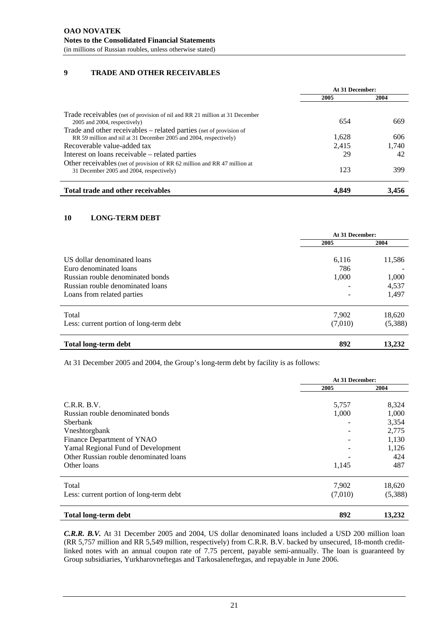## **9 TRADE AND OTHER RECEIVABLES**

|                                                                                                                                        | At 31 December: |       |
|----------------------------------------------------------------------------------------------------------------------------------------|-----------------|-------|
|                                                                                                                                        | 2005            | 2004  |
| Trade receivables (net of provision of nil and RR 21 million at 31 December<br>2005 and 2004, respectively)                            | 654             | 669   |
| Trade and other receivables - related parties (net of provision of<br>RR 59 million and nil at 31 December 2005 and 2004, respectively | 1,628           | 606   |
| Recoverable value-added tax                                                                                                            | 2,415           | 1,740 |
| Interest on loans receivable – related parties                                                                                         | 29              | 42    |
| Other receivables (net of provision of RR 62 million and RR 47 million at<br>31 December 2005 and 2004, respectively)                  | 123             | 399   |
| Total trade and other receivables                                                                                                      | 4.849           | 3.456 |

# **10 LONG-TERM DEBT**

|                                                                                                | At 31 December: |                |                            |       |        |
|------------------------------------------------------------------------------------------------|-----------------|----------------|----------------------------|-------|--------|
|                                                                                                | 2005            | 2004           |                            |       |        |
| US dollar denominated loans                                                                    | 6.116           | 11,586         |                            |       |        |
| Euro denominated loans<br>Russian rouble denominated bonds<br>Russian rouble denominated loans | 786<br>1,000    | 1,000<br>4,537 |                            |       |        |
|                                                                                                |                 |                | Loans from related parties |       | 1,497  |
|                                                                                                |                 |                | Total                      | 7,902 | 18,620 |
| Less: current portion of long-term debt                                                        | (7,010)         | (5,388)        |                            |       |        |
| <b>Total long-term debt</b>                                                                    | 892             | 13,232         |                            |       |        |

At 31 December 2005 and 2004, the Group's long-term debt by facility is as follows:

|                                         | At 31 December: |         |
|-----------------------------------------|-----------------|---------|
|                                         | 2005            | 2004    |
| C.R.R.B.V.                              | 5,757           | 8,324   |
| Russian rouble denominated bonds        | 1,000           | 1,000   |
| <b>S</b> berbank                        |                 | 3,354   |
| Vneshtorgbank                           |                 | 2,775   |
| Finance Department of YNAO              |                 | 1,130   |
| Yamal Regional Fund of Development      |                 | 1,126   |
| Other Russian rouble denominated loans  |                 | 424     |
| Other loans                             | 1,145           | 487     |
| Total                                   | 7,902           | 18,620  |
| Less: current portion of long-term debt | (7,010)         | (5,388) |
| <b>Total long-term debt</b>             | 892             | 13,232  |

*C.R.R. B.V.* At 31 December 2005 and 2004, US dollar denominated loans included a USD 200 million loan (RR 5,757 million and RR 5,549 million, respectively) from C.R.R. B.V. backed by unsecured, 18-month creditlinked notes with an annual coupon rate of 7.75 percent, payable semi-annually. The loan is guaranteed by Group subsidiaries, Yurkharovneftegas and Tarkosaleneftegas, and repayable in June 2006.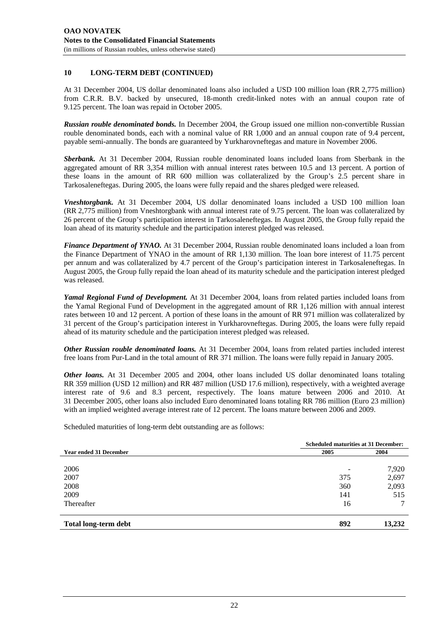#### **10 LONG-TERM DEBT (CONTINUED)**

At 31 December 2004, US dollar denominated loans also included a USD 100 million loan (RR 2,775 million) from C.R.R. B.V. backed by unsecured, 18-month credit-linked notes with an annual coupon rate of 9.125 percent. The loan was repaid in October 2005.

*Russian rouble denominated bonds.* In December 2004, the Group issued one million non-convertible Russian rouble denominated bonds, each with a nominal value of RR 1,000 and an annual coupon rate of 9.4 percent, payable semi-annually. The bonds are guaranteed by Yurkharovneftegas and mature in November 2006.

*Sberbank.* At 31 December 2004, Russian rouble denominated loans included loans from Sberbank in the aggregated amount of RR 3,354 million with annual interest rates between 10.5 and 13 percent. A portion of these loans in the amount of RR 600 million was collateralized by the Group's 2.5 percent share in Tarkosaleneftegas. During 2005, the loans were fully repaid and the shares pledged were released.

*Vneshtorgbank.* At 31 December 2004, US dollar denominated loans included a USD 100 million loan (RR 2,775 million) from Vneshtorgbank with annual interest rate of 9.75 percent. The loan was collateralized by 26 percent of the Group's participation interest in Tarkosaleneftegas. In August 2005, the Group fully repaid the loan ahead of its maturity schedule and the participation interest pledged was released.

*Finance Department of YNAO.* At 31 December 2004, Russian rouble denominated loans included a loan from the Finance Department of YNAO in the amount of RR 1,130 million. The loan bore interest of 11.75 percent per annum and was collateralized by 4.7 percent of the Group's participation interest in Tarkosaleneftegas. In August 2005, the Group fully repaid the loan ahead of its maturity schedule and the participation interest pledged was released.

*Yamal Regional Fund of Development.* At 31 December 2004, loans from related parties included loans from the Yamal Regional Fund of Development in the aggregated amount of RR 1,126 million with annual interest rates between 10 and 12 percent. A portion of these loans in the amount of RR 971 million was collateralized by 31 percent of the Group's participation interest in Yurkharovneftegas. During 2005, the loans were fully repaid ahead of its maturity schedule and the participation interest pledged was released.

*Other Russian rouble denominated loans.* At 31 December 2004, loans from related parties included interest free loans from Pur-Land in the total amount of RR 371 million. The loans were fully repaid in January 2005.

*Other loans.* At 31 December 2005 and 2004, other loans included US dollar denominated loans totaling RR 359 million (USD 12 million) and RR 487 million (USD 17.6 million), respectively, with a weighted average interest rate of 9.6 and 8.3 percent, respectively. The loans mature between 2006 and 2010. At 31 December 2005, other loans also included Euro denominated loans totaling RR 786 million (Euro 23 million) with an implied weighted average interest rate of 12 percent. The loans mature between 2006 and 2009.

Scheduled maturities of long-term debt outstanding are as follows:

|                               | <b>Scheduled maturities at 31 December:</b> |        |
|-------------------------------|---------------------------------------------|--------|
| <b>Year ended 31 December</b> | 2005                                        | 2004   |
|                               |                                             |        |
| 2006                          |                                             | 7,920  |
| 2007                          | 375                                         | 2,697  |
| 2008                          | 360                                         | 2,093  |
| 2009                          | 141                                         | 515    |
| Thereafter                    | 16                                          |        |
| <b>Total long-term debt</b>   | 892                                         | 13,232 |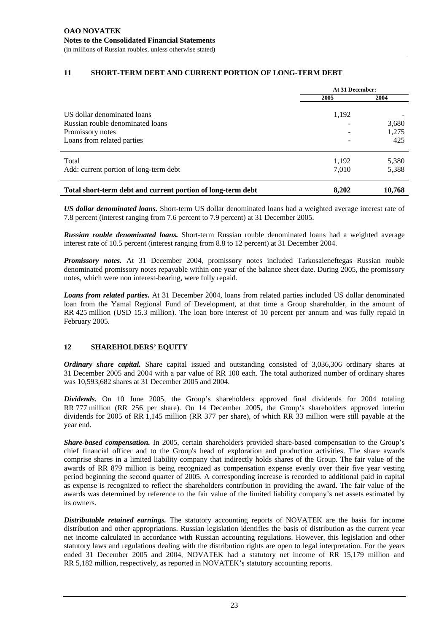#### **11 SHORT-TERM DEBT AND CURRENT PORTION OF LONG-TERM DEBT**

|                                                             | At 31 December: |        |
|-------------------------------------------------------------|-----------------|--------|
|                                                             | 2005            | 2004   |
| US dollar denominated loans                                 | 1,192           |        |
| Russian rouble denominated loans                            |                 | 3,680  |
| Promissory notes                                            |                 | 1,275  |
| Loans from related parties                                  |                 | 425    |
| Total                                                       | 1,192           | 5,380  |
| Add: current portion of long-term debt                      | 7,010           | 5,388  |
| Total short-term debt and current portion of long-term debt | 8.202           | 10,768 |

*US dollar denominated loans.* Short-term US dollar denominated loans had a weighted average interest rate of 7.8 percent (interest ranging from 7.6 percent to 7.9 percent) at 31 December 2005.

*Russian rouble denominated loans.* Short-term Russian rouble denominated loans had a weighted average interest rate of 10.5 percent (interest ranging from 8.8 to 12 percent) at 31 December 2004.

*Promissory notes.* At 31 December 2004, promissory notes included Tarkosaleneftegas Russian rouble denominated promissory notes repayable within one year of the balance sheet date. During 2005, the promissory notes, which were non interest-bearing, were fully repaid.

*Loans from related parties.* At 31 December 2004, loans from related parties included US dollar denominated loan from the Yamal Regional Fund of Development, at that time a Group shareholder, in the amount of RR 425 million (USD 15.3 million). The loan bore interest of 10 percent per annum and was fully repaid in February 2005.

## **12 SHAREHOLDERS' EQUITY**

*Ordinary share capital.* Share capital issued and outstanding consisted of 3,036,306 ordinary shares at 31 December 2005 and 2004 with a par value of RR 100 each. The total authorized number of ordinary shares was 10,593,682 shares at 31 December 2005 and 2004.

*Dividends.* On 10 June 2005, the Group's shareholders approved final dividends for 2004 totaling RR 777 million (RR 256 per share). On 14 December 2005, the Group's shareholders approved interim dividends for 2005 of RR 1,145 million (RR 377 per share), of which RR 33 million were still payable at the year end.

*Share-based compensation.* In 2005, certain shareholders provided share-based compensation to the Group's chief financial officer and to the Group's head of exploration and production activities. The share awards comprise shares in a limited liability company that indirectly holds shares of the Group. The fair value of the awards of RR 879 million is being recognized as compensation expense evenly over their five year vesting period beginning the second quarter of 2005. A corresponding increase is recorded to additional paid in capital as expense is recognized to reflect the shareholders contribution in providing the award. The fair value of the awards was determined by reference to the fair value of the limited liability company's net assets estimated by its owners.

*Distributable retained earnings.* The statutory accounting reports of NOVATEK are the basis for income distribution and other appropriations. Russian legislation identifies the basis of distribution as the current year net income calculated in accordance with Russian accounting regulations. However, this legislation and other statutory laws and regulations dealing with the distribution rights are open to legal interpretation. For the years ended 31 December 2005 and 2004, NOVATEK had a statutory net income of RR 15,179 million and RR 5,182 million, respectively, as reported in NOVATEK's statutory accounting reports.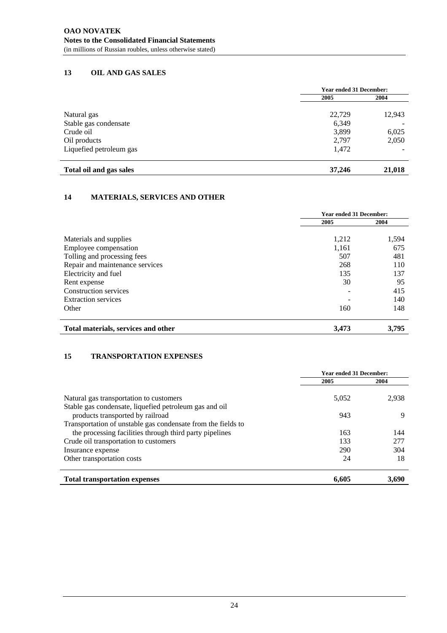## **13 OIL AND GAS SALES**

|                         | <b>Year ended 31 December:</b> |        |
|-------------------------|--------------------------------|--------|
|                         | 2005                           | 2004   |
| Natural gas             | 22,729                         | 12,943 |
| Stable gas condensate   | 6,349                          |        |
| Crude oil               | 3,899                          | 6,025  |
| Oil products            | 2.797                          | 2,050  |
| Liquefied petroleum gas | 1,472                          |        |
| Total oil and gas sales | 37,246                         | 21,018 |

## **14 MATERIALS, SERVICES AND OTHER**

|                                     | <b>Year ended 31 December:</b> |       |
|-------------------------------------|--------------------------------|-------|
|                                     | 2005                           | 2004  |
| Materials and supplies              | 1,212                          | 1,594 |
| Employee compensation               | 1,161                          | 675   |
| Tolling and processing fees         | 507                            | 481   |
| Repair and maintenance services     | 268                            | 110   |
| Electricity and fuel                | 135                            | 137   |
| Rent expense                        | 30                             | 95    |
| Construction services               |                                | 415   |
| <b>Extraction services</b>          |                                | 140   |
| Other                               | 160                            | 148   |
| Total materials, services and other | 3,473                          | 3,795 |

#### **15 TRANSPORTATION EXPENSES**

|                                                                                                   | <b>Year ended 31 December:</b> |       |
|---------------------------------------------------------------------------------------------------|--------------------------------|-------|
|                                                                                                   | 2005                           | 2004  |
| Natural gas transportation to customers<br>Stable gas condensate, liquefied petroleum gas and oil | 5,052                          | 2,938 |
| products transported by railroad                                                                  | 943                            | 9     |
| Transportation of unstable gas condensate from the fields to                                      |                                |       |
| the processing facilities through third party pipelines                                           | 163                            | 144   |
| Crude oil transportation to customers                                                             | 133                            | 277   |
| Insurance expense                                                                                 | 290                            | 304   |
| Other transportation costs                                                                        | 24                             | 18    |
| <b>Total transportation expenses</b>                                                              | 6,605                          | 3.690 |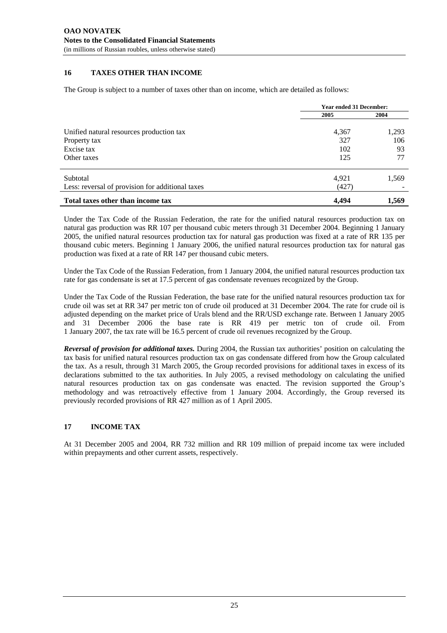#### **16 TAXES OTHER THAN INCOME**

The Group is subject to a number of taxes other than on income, which are detailed as follows:

|                                                                                       | <b>Year ended 31 December:</b> |                          |
|---------------------------------------------------------------------------------------|--------------------------------|--------------------------|
|                                                                                       | 2005                           | 2004                     |
| Unified natural resources production tax<br>Property tax<br>Excise tax<br>Other taxes | 4,367<br>327<br>102<br>125     | 1,293<br>106<br>93<br>77 |
| Subtotal<br>Less: reversal of provision for additional taxes                          | 4,921<br>(427)                 | 1,569                    |
| Total taxes other than income tax                                                     | 4.494                          | 1,569                    |

Under the Tax Code of the Russian Federation, the rate for the unified natural resources production tax on natural gas production was RR 107 per thousand cubic meters through 31 December 2004. Beginning 1 January 2005, the unified natural resources production tax for natural gas production was fixed at a rate of RR 135 per thousand cubic meters. Beginning 1 January 2006, the unified natural resources production tax for natural gas production was fixed at a rate of RR 147 per thousand cubic meters.

Under the Tax Code of the Russian Federation, from 1 January 2004, the unified natural resources production tax rate for gas condensate is set at 17.5 percent of gas condensate revenues recognized by the Group.

Under the Tax Code of the Russian Federation, the base rate for the unified natural resources production tax for crude oil was set at RR 347 per metric ton of crude oil produced at 31 December 2004. The rate for crude oil is adjusted depending on the market price of Urals blend and the RR/USD exchange rate. Between 1 January 2005 and 31 December 2006 the base rate is RR 419 per metric ton of crude oil. From 1 January 2007, the tax rate will be 16.5 percent of crude oil revenues recognized by the Group.

*Reversal of provision for additional taxes.* During 2004, the Russian tax authorities' position on calculating the tax basis for unified natural resources production tax on gas condensate differed from how the Group calculated the tax. As a result, through 31 March 2005, the Group recorded provisions for additional taxes in excess of its declarations submitted to the tax authorities. In July 2005, a revised methodology on calculating the unified natural resources production tax on gas condensate was enacted. The revision supported the Group's methodology and was retroactively effective from 1 January 2004. Accordingly, the Group reversed its previously recorded provisions of RR 427 million as of 1 April 2005.

## **17 INCOME TAX**

At 31 December 2005 and 2004, RR 732 million and RR 109 million of prepaid income tax were included within prepayments and other current assets, respectively.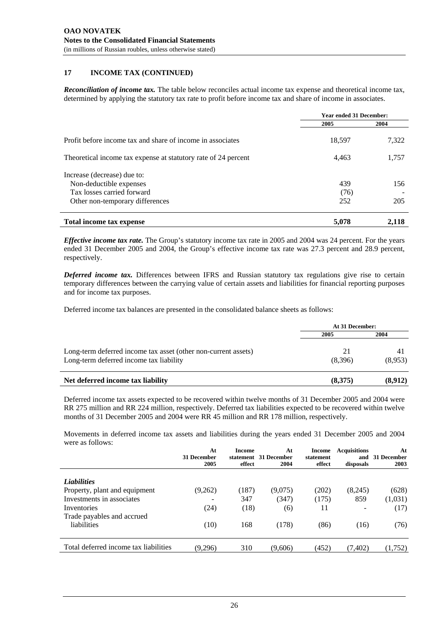## **17 INCOME TAX (CONTINUED)**

*Reconciliation of income tax.* The table below reconciles actual income tax expense and theoretical income tax, determined by applying the statutory tax rate to profit before income tax and share of income in associates.

|                                                                | <b>Year ended 31 December:</b> |       |
|----------------------------------------------------------------|--------------------------------|-------|
|                                                                | 2005                           | 2004  |
| Profit before income tax and share of income in associates     | 18,597                         | 7,322 |
| Theoretical income tax expense at statutory rate of 24 percent | 4,463                          | 1,757 |
| Increase (decrease) due to:                                    |                                |       |
| Non-deductible expenses                                        | 439                            | 156   |
| Tax losses carried forward                                     | (76)                           |       |
| Other non-temporary differences                                | 252                            | 205   |
| Total income tax expense                                       | 5,078                          | 2.118 |

*Effective income tax rate.* The Group's statutory income tax rate in 2005 and 2004 was 24 percent. For the years ended 31 December 2005 and 2004, the Group's effective income tax rate was 27.3 percent and 28.9 percent, respectively.

*Deferred income tax.* Differences between IFRS and Russian statutory tax regulations give rise to certain temporary differences between the carrying value of certain assets and liabilities for financial reporting purposes and for income tax purposes.

Deferred income tax balances are presented in the consolidated balance sheets as follows:

|                                                                                                           | At 31 December: |               |  |
|-----------------------------------------------------------------------------------------------------------|-----------------|---------------|--|
|                                                                                                           | 2005            | 2004          |  |
| Long-term deferred income tax asset (other non-current assets)<br>Long-term deferred income tax liability | 21<br>(8,396)   | 41<br>(8,953) |  |
| Net deferred income tax liability                                                                         | (8,375)         | (8,912)       |  |

Deferred income tax assets expected to be recovered within twelve months of 31 December 2005 and 2004 were RR 275 million and RR 224 million, respectively. Deferred tax liabilities expected to be recovered within twelve months of 31 December 2005 and 2004 were RR 45 million and RR 178 million, respectively.

Movements in deferred income tax assets and liabilities during the years ended 31 December 2005 and 2004 were as follows:

|                                       | At<br>31 December<br>2005 | Income<br>effect | At<br>statement 31 December<br>2004 | Income<br>statement<br>effect | <b>Acquisitions</b><br>and<br>disposals | At<br>- 31 December<br>2003 |
|---------------------------------------|---------------------------|------------------|-------------------------------------|-------------------------------|-----------------------------------------|-----------------------------|
| <b>Liabilities</b>                    |                           |                  |                                     |                               |                                         |                             |
| Property, plant and equipment         | (9,262)                   | (187)            | (9,075)                             | (202)                         | (8,245)                                 | (628)                       |
| Investments in associates             | $\overline{\phantom{0}}$  | 347              | (347)                               | (175)                         | 859                                     | (1,031)                     |
| Inventories                           | (24)                      | (18)             | (6)                                 | 11                            |                                         | (17)                        |
| Trade payables and accrued            |                           |                  |                                     |                               |                                         |                             |
| liabilities                           | (10)                      | 168              | (178)                               | (86)                          | (16)                                    | (76)                        |
| Total deferred income tax liabilities | (9,296)                   | 310              | (9,606)                             | (452)                         | (7, 402)                                | (1,752)                     |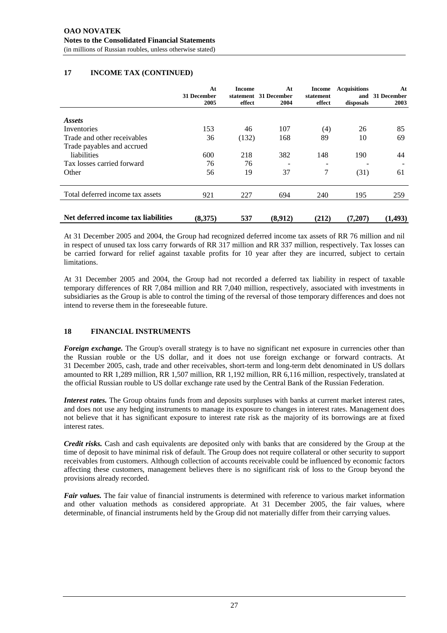## **17 INCOME TAX (CONTINUED)**

| At<br>31 December<br>2005 | Income<br>effect | At<br>2004 | Income<br>statement<br>effect    | <b>Acquisitions</b><br>and<br>disposals | At<br>31 December<br>2003 |
|---------------------------|------------------|------------|----------------------------------|-----------------------------------------|---------------------------|
|                           |                  |            |                                  |                                         |                           |
|                           |                  |            |                                  |                                         |                           |
| 153                       | 46               | 107        | (4)                              | 26                                      | 85                        |
| 36                        | (132)            | 168        | 89                               | 10                                      | 69                        |
|                           |                  |            |                                  |                                         |                           |
| 600                       | 218              | 382        | 148                              | 190                                     | 44                        |
| 76                        | 76               |            |                                  |                                         |                           |
| 56                        | 19               | 37         | 7                                | (31)                                    | 61                        |
| 921                       | 227              | 694        | 240                              | 195                                     | 259                       |
|                           |                  |            |                                  |                                         | (1, 493)                  |
|                           | (8,375)          | 537        | statement 31 December<br>(8,912) | (212)                                   | (7,207)                   |

At 31 December 2005 and 2004, the Group had recognized deferred income tax assets of RR 76 million and nil in respect of unused tax loss carry forwards of RR 317 million and RR 337 million, respectively. Tax losses can be carried forward for relief against taxable profits for 10 year after they are incurred, subject to certain limitations.

At 31 December 2005 and 2004, the Group had not recorded a deferred tax liability in respect of taxable temporary differences of RR 7,084 million and RR 7,040 million, respectively, associated with investments in subsidiaries as the Group is able to control the timing of the reversal of those temporary differences and does not intend to reverse them in the foreseeable future.

# **18 FINANCIAL INSTRUMENTS**

*Foreign exchange*. The Group's overall strategy is to have no significant net exposure in currencies other than the Russian rouble or the US dollar, and it does not use foreign exchange or forward contracts. At 31 December 2005, cash, trade and other receivables, short-term and long-term debt denominated in US dollars amounted to RR 1,289 million, RR 1,507 million, RR 1,192 million, RR 6,116 million, respectively, translated at the official Russian rouble to US dollar exchange rate used by the Central Bank of the Russian Federation.

*Interest rates.* The Group obtains funds from and deposits surpluses with banks at current market interest rates, and does not use any hedging instruments to manage its exposure to changes in interest rates. Management does not believe that it has significant exposure to interest rate risk as the majority of its borrowings are at fixed interest rates.

*Credit risks.* Cash and cash equivalents are deposited only with banks that are considered by the Group at the time of deposit to have minimal risk of default. The Group does not require collateral or other security to support receivables from customers. Although collection of accounts receivable could be influenced by economic factors affecting these customers, management believes there is no significant risk of loss to the Group beyond the provisions already recorded.

*Fair values.* The fair value of financial instruments is determined with reference to various market information and other valuation methods as considered appropriate. At 31 December 2005, the fair values, where determinable, of financial instruments held by the Group did not materially differ from their carrying values.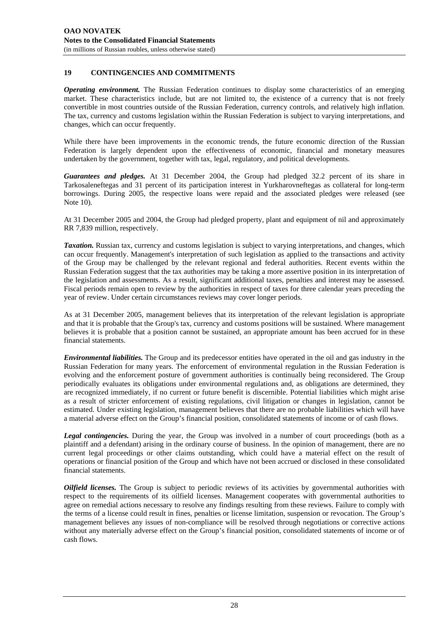#### **19 CONTINGENCIES AND COMMITMENTS**

*Operating environment.* The Russian Federation continues to display some characteristics of an emerging market. These characteristics include, but are not limited to, the existence of a currency that is not freely convertible in most countries outside of the Russian Federation, currency controls, and relatively high inflation. The tax, currency and customs legislation within the Russian Federation is subject to varying interpretations, and changes, which can occur frequently.

While there have been improvements in the economic trends, the future economic direction of the Russian Federation is largely dependent upon the effectiveness of economic, financial and monetary measures undertaken by the government, together with tax, legal, regulatory, and political developments.

*Guarantees and pledges.* At 31 December 2004, the Group had pledged 32.2 percent of its share in Tarkosaleneftegas and 31 percent of its participation interest in Yurkharovneftegas as collateral for long-term borrowings. During 2005, the respective loans were repaid and the associated pledges were released (see Note 10).

At 31 December 2005 and 2004, the Group had pledged property, plant and equipment of nil and approximately RR 7,839 million, respectively.

*Taxation.* Russian tax, currency and customs legislation is subject to varying interpretations, and changes, which can occur frequently. Management's interpretation of such legislation as applied to the transactions and activity of the Group may be challenged by the relevant regional and federal authorities. Recent events within the Russian Federation suggest that the tax authorities may be taking a more assertive position in its interpretation of the legislation and assessments. As a result, significant additional taxes, penalties and interest may be assessed. Fiscal periods remain open to review by the authorities in respect of taxes for three calendar years preceding the year of review. Under certain circumstances reviews may cover longer periods.

As at 31 December 2005, management believes that its interpretation of the relevant legislation is appropriate and that it is probable that the Group's tax, currency and customs positions will be sustained. Where management believes it is probable that a position cannot be sustained, an appropriate amount has been accrued for in these financial statements.

*Environmental liabilities.* The Group and its predecessor entities have operated in the oil and gas industry in the Russian Federation for many years. The enforcement of environmental regulation in the Russian Federation is evolving and the enforcement posture of government authorities is continually being reconsidered. The Group periodically evaluates its obligations under environmental regulations and, as obligations are determined, they are recognized immediately, if no current or future benefit is discernible. Potential liabilities which might arise as a result of stricter enforcement of existing regulations, civil litigation or changes in legislation, cannot be estimated. Under existing legislation, management believes that there are no probable liabilities which will have a material adverse effect on the Group's financial position, consolidated statements of income or of cash flows.

Legal contingencies. During the year, the Group was involved in a number of court proceedings (both as a plaintiff and a defendant) arising in the ordinary course of business. In the opinion of management, there are no current legal proceedings or other claims outstanding, which could have a material effect on the result of operations or financial position of the Group and which have not been accrued or disclosed in these consolidated financial statements.

*Oilfield licenses*. The Group is subject to periodic reviews of its activities by governmental authorities with respect to the requirements of its oilfield licenses. Management cooperates with governmental authorities to agree on remedial actions necessary to resolve any findings resulting from these reviews. Failure to comply with the terms of a license could result in fines, penalties or license limitation, suspension or revocation. The Group's management believes any issues of non-compliance will be resolved through negotiations or corrective actions without any materially adverse effect on the Group's financial position, consolidated statements of income or of cash flows.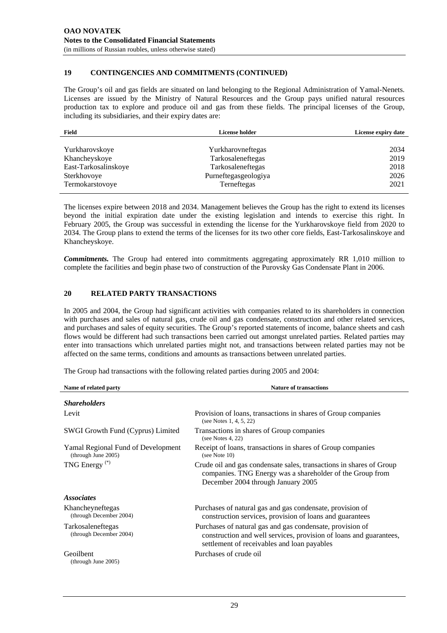#### **19 CONTINGENCIES AND COMMITMENTS (CONTINUED)**

The Group's oil and gas fields are situated on land belonging to the Regional Administration of Yamal-Nenets. Licenses are issued by the Ministry of Natural Resources and the Group pays unified natural resources production tax to explore and produce oil and gas from these fields. The principal licenses of the Group, including its subsidiaries, and their expiry dates are:

| Field                | <b>License holder</b> | License expiry date |
|----------------------|-----------------------|---------------------|
|                      |                       |                     |
| Yurkharovskoye       | Yurkharovneftegas     | 2034                |
| Khancheyskoye        | Tarkosaleneftegas     | 2019                |
| East-Tarkosalinskoye | Tarkosaleneftegas     | 2018                |
| Sterkhovoye          | Purneftegasgeologiya  | 2026                |
| Termokarstovoye      | Terneftegas           | 2021                |

The licenses expire between 2018 and 2034. Management believes the Group has the right to extend its licenses beyond the initial expiration date under the existing legislation and intends to exercise this right. In February 2005, the Group was successful in extending the license for the Yurkharovskoye field from 2020 to 2034. The Group plans to extend the terms of the licenses for its two other core fields, East-Tarkosalinskoye and Khancheyskoye.

*Commitments.* The Group had entered into commitments aggregating approximately RR 1,010 million to complete the facilities and begin phase two of construction of the Purovsky Gas Condensate Plant in 2006.

#### **20 RELATED PARTY TRANSACTIONS**

In 2005 and 2004, the Group had significant activities with companies related to its shareholders in connection with purchases and sales of natural gas, crude oil and gas condensate, construction and other related services, and purchases and sales of equity securities. The Group's reported statements of income, balance sheets and cash flows would be different had such transactions been carried out amongst unrelated parties. Related parties may enter into transactions which unrelated parties might not, and transactions between related parties may not be affected on the same terms, conditions and amounts as transactions between unrelated parties.

**Name of related party Service Service Service Service Service Service Service Service Service Service Service Service Service Service Service Service Service Service Service Service Service Service Service Service Service** *Shareholders*  Levit Provision of loans, transactions in shares of Group companies (see Notes 1, 4, 5, 22) SWGI Growth Fund (Cyprus) Limited Transactions in shares of Group companies (see Notes 4, 22) Yamal Regional Fund of Development (through June 2005) Receipt of loans, transactions in shares of Group companies (see Note 10) TNG Energy (\*) Crude oil and gas condensate sales, transactions in shares of Group companies. TNG Energy was a shareholder of the Group from December 2004 through January 2005 *Associates*  Khancheyneftegas (through December 2004) Purchases of natural gas and gas condensate, provision of construction services, provision of loans and guarantees Tarkosaleneftegas (through December 2004) Purchases of natural gas and gas condensate, provision of construction and well services, provision of loans and guarantees, settlement of receivables and loan payables Geoilbent (through June 2005) Purchases of crude oil

The Group had transactions with the following related parties during 2005 and 2004: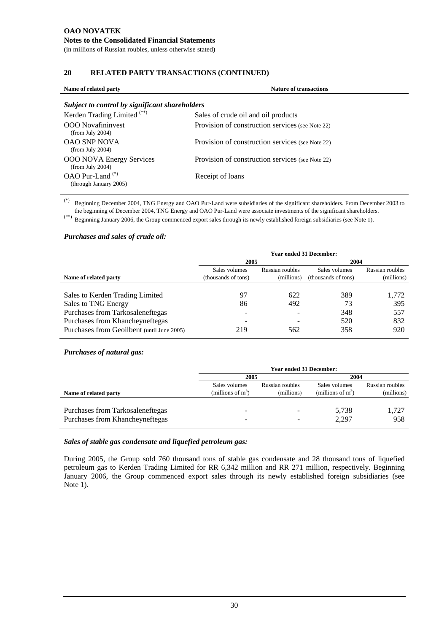## **20 RELATED PARTY TRANSACTIONS (CONTINUED)**

| Name of related party                                 | <b>Nature of transactions</b>                    |
|-------------------------------------------------------|--------------------------------------------------|
| Subject to control by significant shareholders        |                                                  |
| Kerden Trading Limited <sup>(**)</sup>                | Sales of crude oil and oil products              |
| <b>OOO</b> Novafininvest<br>(from July 2004)          | Provision of construction services (see Note 22) |
| <b>OAO SNP NOVA</b><br>(from July 2004)               | Provision of construction services (see Note 22) |
| <b>OOO NOVA Energy Services</b><br>(from July 2004)   | Provision of construction services (see Note 22) |
| OAO Pur-Land <sup>(*)</sup><br>(through January 2005) | Receipt of loans                                 |

(\*) Beginning December 2004, TNG Energy and OAO Pur-Land were subsidiaries of the significant shareholders. From December 2003 to the beginning of December 2004, TNG Energy and OAO Pur-Land were associate investments of the significant shareholders.

(\*\*) Beginning January 2006, the Group commenced export sales through its newly established foreign subsidiaries (see Note 1).

#### *Purchases and sales of crude oil:*

|                                            | <b>Year ended 31 December:</b> |                 |                     |                 |
|--------------------------------------------|--------------------------------|-----------------|---------------------|-----------------|
|                                            | 2005                           |                 | 2004                |                 |
|                                            | Sales volumes                  | Russian roubles | Sales volumes       | Russian roubles |
| Name of related party                      | (thousands of tons)            | (millions)      | (thousands of tons) | (millions)      |
|                                            |                                |                 |                     |                 |
| Sales to Kerden Trading Limited            | 97                             | 622             | 389                 | 1,772           |
| Sales to TNG Energy                        | 86                             | 492             | 73                  | 395             |
| Purchases from Tarkosaleneftegas           |                                |                 | 348                 | 557             |
| Purchases from Khancheyneftegas            |                                |                 | 520                 | 832             |
| Purchases from Geoilbent (until June 2005) | 219                            | 562             | 358                 | 920             |

#### *Purchases of natural gas:*

|                                                                     |                                       | <b>Year ended 31 December:</b> |                                       |                               |
|---------------------------------------------------------------------|---------------------------------------|--------------------------------|---------------------------------------|-------------------------------|
|                                                                     | 2005                                  |                                | 2004                                  |                               |
| Name of related party                                               | Sales volumes<br>(millions of $m^3$ ) | Russian roubles<br>(millions)  | Sales volumes<br>(millions of $m^3$ ) | Russian roubles<br>(millions) |
| Purchases from Tarkosaleneftegas<br>Purchases from Khancheyneftegas |                                       |                                | 5,738<br>2,297                        | 1,727<br>958                  |

#### *Sales of stable gas condensate and liquefied petroleum gas:*

During 2005, the Group sold 760 thousand tons of stable gas condensate and 28 thousand tons of liquefied petroleum gas to Kerden Trading Limited for RR 6,342 million and RR 271 million, respectively. Beginning January 2006, the Group commenced export sales through its newly established foreign subsidiaries (see Note 1).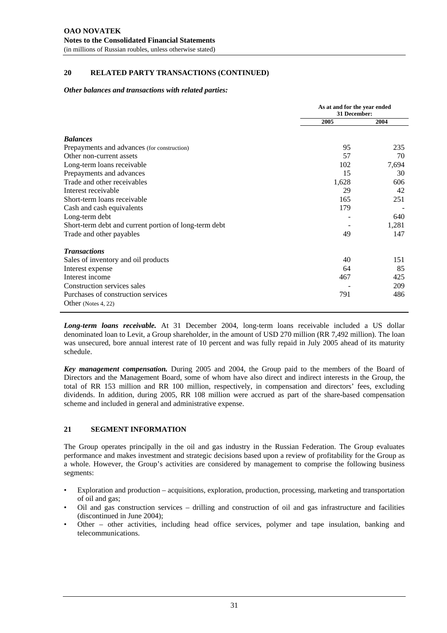#### **20 RELATED PARTY TRANSACTIONS (CONTINUED)**

#### *Other balances and transactions with related parties:*

|                                                       | As at and for the year ended<br>31 December: |       |
|-------------------------------------------------------|----------------------------------------------|-------|
|                                                       | 2005                                         | 2004  |
| <b>Balances</b>                                       |                                              |       |
| Prepayments and advances (for construction)           | 95                                           | 235   |
| Other non-current assets                              | 57                                           | 70    |
| Long-term loans receivable                            | 102                                          | 7,694 |
| Prepayments and advances                              | 15                                           | 30    |
| Trade and other receivables                           | 1,628                                        | 606   |
| Interest receivable                                   | 29                                           | 42    |
| Short-term loans receivable                           | 165                                          | 251   |
| Cash and cash equivalents                             | 179                                          |       |
| Long-term debt                                        |                                              | 640   |
| Short-term debt and current portion of long-term debt |                                              | 1,281 |
| Trade and other payables                              | 49                                           | 147   |
| <b>Transactions</b>                                   |                                              |       |
| Sales of inventory and oil products                   | 40                                           | 151   |
| Interest expense                                      | 64                                           | 85    |
| Interest income                                       | 467                                          | 425   |
| Construction services sales                           |                                              | 209   |
| Purchases of construction services                    | 791                                          | 486   |
| Other (Notes 4, 22)                                   |                                              |       |

*Long-term loans receivable.* At 31 December 2004, long-term loans receivable included a US dollar denominated loan to Levit, a Group shareholder, in the amount of USD 270 million (RR 7,492 million). The loan was unsecured, bore annual interest rate of 10 percent and was fully repaid in July 2005 ahead of its maturity schedule.

*Key management compensation.* During 2005 and 2004, the Group paid to the members of the Board of Directors and the Management Board, some of whom have also direct and indirect interests in the Group, the total of RR 153 million and RR 100 million, respectively, in compensation and directors' fees, excluding dividends. In addition, during 2005, RR 108 million were accrued as part of the share-based compensation scheme and included in general and administrative expense.

#### **21 SEGMENT INFORMATION**

The Group operates principally in the oil and gas industry in the Russian Federation. The Group evaluates performance and makes investment and strategic decisions based upon a review of profitability for the Group as a whole. However, the Group's activities are considered by management to comprise the following business segments:

- Exploration and production acquisitions, exploration, production, processing, marketing and transportation of oil and gas;
- Oil and gas construction services drilling and construction of oil and gas infrastructure and facilities (discontinued in June 2004);
- Other other activities, including head office services, polymer and tape insulation, banking and telecommunications.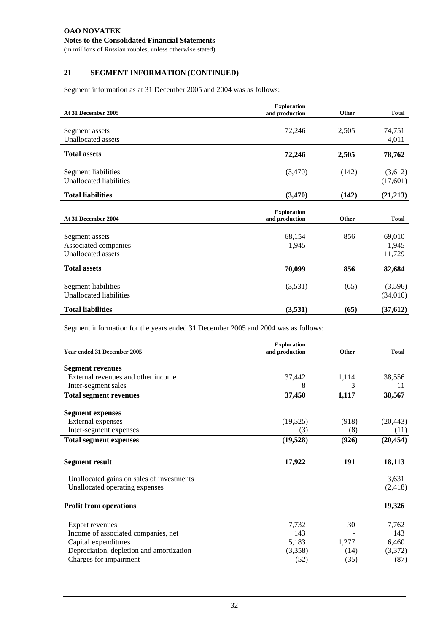## **21 SEGMENT INFORMATION (CONTINUED)**

Segment information as at 31 December 2005 and 2004 was as follows:

| At 31 December 2005                            | <b>Exploration</b><br>and production | Other | <b>Total</b>        |
|------------------------------------------------|--------------------------------------|-------|---------------------|
|                                                |                                      |       |                     |
| Segment assets                                 | 72,246                               | 2,505 | 74,751              |
| Unallocated assets                             |                                      |       | 4,011               |
| <b>Total assets</b>                            | 72,246                               | 2,505 | 78,762              |
| Segment liabilities<br>Unallocated liabilities | (3,470)                              | (142) | (3,612)<br>(17,601) |
| <b>Total liabilities</b>                       | (3,470)                              | (142) | (21,213)            |
| At 31 December 2004                            | <b>Exploration</b><br>and production | Other | <b>Total</b>        |
| Segment assets                                 | 68,154                               | 856   | 69,010              |
| Associated companies                           | 1,945                                |       | 1,945               |
| <b>Unallocated assets</b>                      |                                      |       | 11,729              |
| <b>Total assets</b>                            | 70,099                               | 856   | 82,684              |
|                                                |                                      |       |                     |
| Segment liabilities<br>Unallocated liabilities | (3,531)                              | (65)  | (3,596)<br>(34,016) |

Segment information for the years ended 31 December 2005 and 2004 was as follows:

|                                           | <b>Exploration</b> |       |              |
|-------------------------------------------|--------------------|-------|--------------|
| Year ended 31 December 2005               | and production     | Other | <b>Total</b> |
|                                           |                    |       |              |
| <b>Segment revenues</b>                   |                    |       |              |
| External revenues and other income        | 37,442             | 1,114 | 38,556       |
| Inter-segment sales                       | 8                  | 3     | 11           |
| <b>Total segment revenues</b>             | 37,450             | 1,117 | 38,567       |
| <b>Segment expenses</b>                   |                    |       |              |
| External expenses                         | (19, 525)          | (918) | (20, 443)    |
| Inter-segment expenses                    | (3)                | (8)   | (11)         |
| <b>Total segment expenses</b>             | (19, 528)          | (926) | (20, 454)    |
| <b>Segment result</b>                     | 17,922             | 191   | 18,113       |
| Unallocated gains on sales of investments |                    |       | 3,631        |
| Unallocated operating expenses            |                    |       | (2, 418)     |
| <b>Profit from operations</b>             |                    |       | 19,326       |
|                                           |                    |       |              |
| <b>Export revenues</b>                    | 7,732              | 30    | 7,762        |
| Income of associated companies, net       | 143                |       | 143          |
| Capital expenditures                      | 5,183              | 1,277 | 6,460        |
| Depreciation, depletion and amortization  | (3,358)            | (14)  | (3,372)      |
| Charges for impairment                    | (52)               | (35)  | (87)         |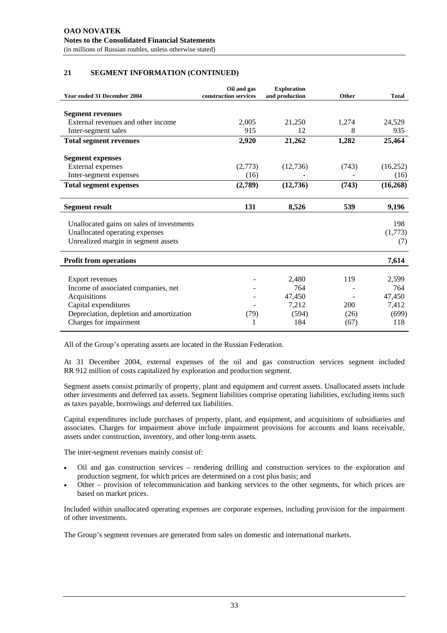## **21 SEGMENT INFORMATION (CONTINUED)**

| <b>Year ended 31 December 2004</b>        | Oil and gas<br>construction services | <b>Exploration</b><br>and production | Other | <b>Total</b> |
|-------------------------------------------|--------------------------------------|--------------------------------------|-------|--------------|
|                                           |                                      |                                      |       |              |
| <b>Segment revenues</b>                   |                                      |                                      |       |              |
| External revenues and other income        | 2.005                                | 21,250                               | 1,274 | 24,529       |
| Inter-segment sales                       | 915                                  | 12                                   | 8     | 935          |
| <b>Total segment revenues</b>             | 2,920                                | 21,262                               | 1,282 | 25,464       |
| <b>Segment expenses</b>                   |                                      |                                      |       |              |
| External expenses                         | (2,773)                              | (12,736)                             | (743) | (16,252)     |
| Inter-segment expenses                    | (16)                                 |                                      |       | (16)         |
| <b>Total segment expenses</b>             | (2,789)                              | (12, 736)                            | (743) | (16, 268)    |
| <b>Segment result</b>                     | 131                                  | 8,526                                | 539   | 9,196        |
| Unallocated gains on sales of investments |                                      |                                      |       | 198          |
| Unallocated operating expenses            |                                      |                                      |       | (1,773)      |
| Unrealized margin in segment assets       |                                      |                                      |       | (7)          |
| <b>Profit from operations</b>             |                                      |                                      |       | 7,614        |
| Export revenues                           |                                      | 2,480                                | 119   | 2,599        |
| Income of associated companies, net       |                                      | 764                                  |       | 764          |
| Acquisitions                              |                                      | 47,450                               |       | 47,450       |
| Capital expenditures                      |                                      | 7,212                                | 200   | 7,412        |
| Depreciation, depletion and amortization  | (79)                                 | (594)                                | (26)  | (699)        |
| Charges for impairment                    |                                      | 184                                  | (67)  | 118          |

All of the Group's operating assets are located in the Russian Federation.

At 31 December 2004, external expenses of the oil and gas construction services segment included RR 912 million of costs capitalized by exploration and production segment.

Segment assets consist primarily of property, plant and equipment and current assets. Unallocated assets include other investments and deferred tax assets. Segment liabilities comprise operating liabilities, excluding items such as taxes payable, borrowings and deferred tax liabilities.

Capital expenditures include purchases of property, plant, and equipment, and acquisitions of subsidiaries and associates. Charges for impairment above include impairment provisions for accounts and loans receivable, assets under construction, inventory, and other long-term assets.

The inter-segment revenues mainly consist of:

- Oil and gas construction services rendering drilling and construction services to the exploration and production segment, for which prices are determined on a cost plus basis; and
- Other provision of telecommunication and banking services to the other segments, for which prices are based on market prices.

Included within unallocated operating expenses are corporate expenses, including provision for the impairment of other investments.

The Group's segment revenues are generated from sales on domestic and international markets.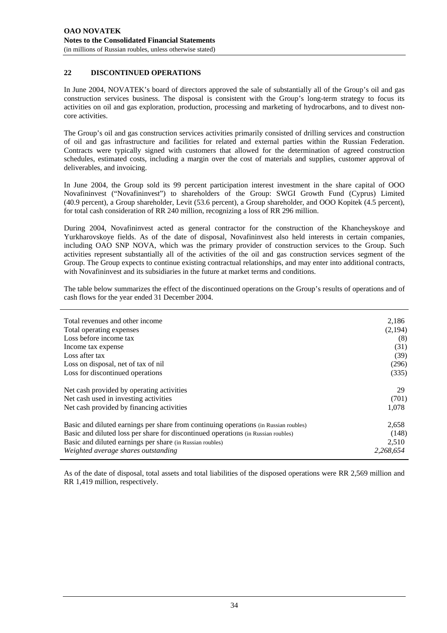#### **22 DISCONTINUED OPERATIONS**

In June 2004, NOVATEK's board of directors approved the sale of substantially all of the Group's oil and gas construction services business. The disposal is consistent with the Group's long-term strategy to focus its activities on oil and gas exploration, production, processing and marketing of hydrocarbons, and to divest noncore activities.

The Group's oil and gas construction services activities primarily consisted of drilling services and construction of oil and gas infrastructure and facilities for related and external parties within the Russian Federation. Contracts were typically signed with customers that allowed for the determination of agreed construction schedules, estimated costs, including a margin over the cost of materials and supplies, customer approval of deliverables, and invoicing.

In June 2004, the Group sold its 99 percent participation interest investment in the share capital of OOO Novafininvest ("Novafininvest") to shareholders of the Group: SWGI Growth Fund (Cyprus) Limited (40.9 percent), a Group shareholder, Levit (53.6 percent), a Group shareholder, and OOO Kopitek (4.5 percent), for total cash consideration of RR 240 million, recognizing a loss of RR 296 million.

During 2004, Novafininvest acted as general contractor for the construction of the Khancheyskoye and Yurkharovskoye fields. As of the date of disposal, Novafininvest also held interests in certain companies, including OAO SNP NOVA, which was the primary provider of construction services to the Group. Such activities represent substantially all of the activities of the oil and gas construction services segment of the Group. The Group expects to continue existing contractual relationships, and may enter into additional contracts, with Novafininvest and its subsidiaries in the future at market terms and conditions.

The table below summarizes the effect of the discontinued operations on the Group's results of operations and of cash flows for the year ended 31 December 2004.

| Total revenues and other income                                                      | 2,186     |
|--------------------------------------------------------------------------------------|-----------|
| Total operating expenses                                                             | (2,194)   |
| Loss before income tax                                                               | (8)       |
| Income tax expense                                                                   | (31)      |
| Loss after tax                                                                       | (39)      |
| Loss on disposal, net of tax of nil                                                  | (296)     |
| Loss for discontinued operations                                                     | (335)     |
| Net cash provided by operating activities                                            | 29        |
| Net cash used in investing activities                                                | (701)     |
| Net cash provided by financing activities                                            | 1,078     |
| Basic and diluted earnings per share from continuing operations (in Russian roubles) | 2,658     |
| Basic and diluted loss per share for discontinued operations (in Russian roubles)    | (148)     |
| Basic and diluted earnings per share (in Russian roubles)                            | 2,510     |
| Weighted average shares outstanding                                                  | 2.268.654 |

As of the date of disposal, total assets and total liabilities of the disposed operations were RR 2,569 million and RR 1,419 million, respectively.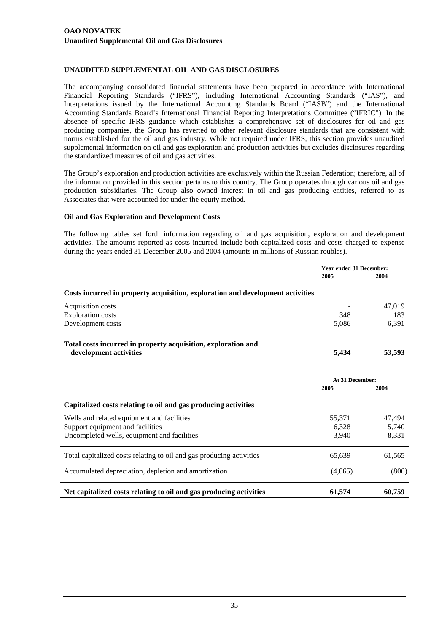## **UNAUDITED SUPPLEMENTAL OIL AND GAS DISCLOSURES**

The accompanying consolidated financial statements have been prepared in accordance with International Financial Reporting Standards ("IFRS"), including International Accounting Standards ("IAS"), and Interpretations issued by the International Accounting Standards Board ("IASB") and the International Accounting Standards Board's International Financial Reporting Interpretations Committee ("IFRIC"). In the absence of specific IFRS guidance which establishes a comprehensive set of disclosures for oil and gas producing companies, the Group has reverted to other relevant disclosure standards that are consistent with norms established for the oil and gas industry. While not required under IFRS, this section provides unaudited supplemental information on oil and gas exploration and production activities but excludes disclosures regarding the standardized measures of oil and gas activities.

The Group's exploration and production activities are exclusively within the Russian Federation; therefore, all of the information provided in this section pertains to this country. The Group operates through various oil and gas production subsidiaries. The Group also owned interest in oil and gas producing entities, referred to as Associates that were accounted for under the equity method.

#### **Oil and Gas Exploration and Development Costs**

The following tables set forth information regarding oil and gas acquisition, exploration and development activities. The amounts reported as costs incurred include both capitalized costs and costs charged to expense during the years ended 31 December 2005 and 2004 (amounts in millions of Russian roubles).

|                                                                                | <b>Year ended 31 December:</b> |        |
|--------------------------------------------------------------------------------|--------------------------------|--------|
|                                                                                | 2005                           | 2004   |
| Costs incurred in property acquisition, exploration and development activities |                                |        |
| Acquisition costs                                                              |                                | 47,019 |
| <b>Exploration costs</b>                                                       | 348                            | 183    |
| Development costs                                                              | 5,086                          | 6,391  |
| Total costs incurred in property acquisition, exploration and                  |                                |        |
| development activities                                                         | 5,434                          | 53,593 |
|                                                                                | At 31 December:                |        |
|                                                                                | 2005                           | 2004   |
| Capitalized costs relating to oil and gas producing activities                 |                                |        |
| Wells and related equipment and facilities                                     | 55,371                         | 47,494 |
| Support equipment and facilities                                               | 6,328                          | 5,740  |
| Uncompleted wells, equipment and facilities                                    | 3,940                          | 8,331  |
| Total capitalized costs relating to oil and gas producing activities           | 65,639                         | 61,565 |
| Accumulated depreciation, depletion and amortization                           | (4,065)                        | (806)  |
| Net capitalized costs relating to oil and gas producing activities             | 61,574                         | 60,759 |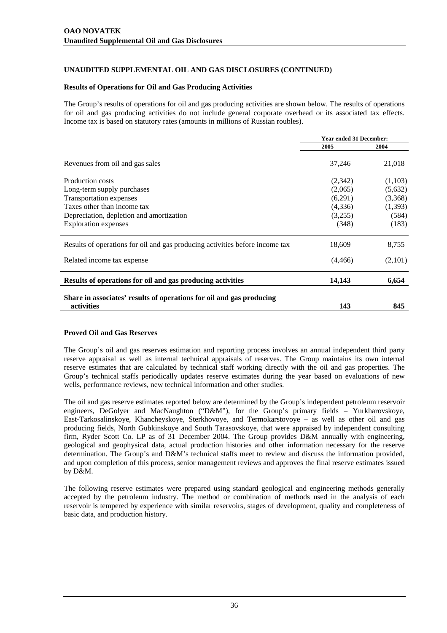#### **Results of Operations for Oil and Gas Producing Activities**

The Group's results of operations for oil and gas producing activities are shown below. The results of operations for oil and gas producing activities do not include general corporate overhead or its associated tax effects. Income tax is based on statutory rates (amounts in millions of Russian roubles).

|                                                                                    | <b>Year ended 31 December:</b> |                   |
|------------------------------------------------------------------------------------|--------------------------------|-------------------|
|                                                                                    | 2005                           | 2004              |
| Revenues from oil and gas sales                                                    | 37,246                         | 21,018            |
| <b>Production costs</b>                                                            | (2,342)                        | (1,103)           |
| Long-term supply purchases                                                         | (2,065)                        | (5,632)           |
| Transportation expenses                                                            | (6,291)                        | (3,368)           |
| Taxes other than income tax                                                        | (4,336)<br>(3,255)             | (1, 393)<br>(584) |
| Depreciation, depletion and amortization                                           |                                |                   |
| <b>Exploration</b> expenses                                                        | (348)                          | (183)             |
| Results of operations for oil and gas producing activities before income tax       | 18,609                         | 8,755             |
| Related income tax expense                                                         | (4, 466)                       | (2,101)           |
| Results of operations for oil and gas producing activities                         | 14,143                         | 6,654             |
| Share in associates' results of operations for oil and gas producing<br>activities | 143                            | 845               |

## **Proved Oil and Gas Reserves**

The Group's oil and gas reserves estimation and reporting process involves an annual independent third party reserve appraisal as well as internal technical appraisals of reserves. The Group maintains its own internal reserve estimates that are calculated by technical staff working directly with the oil and gas properties. The Group's technical staffs periodically updates reserve estimates during the year based on evaluations of new wells, performance reviews, new technical information and other studies.

The oil and gas reserve estimates reported below are determined by the Group's independent petroleum reservoir engineers, DeGolyer and MacNaughton ("D&M"), for the Group's primary fields – Yurkharovskoye, East-Tarkosalinskoye, Khancheyskoye, Sterkhovoye, and Termokarstovoye – as well as other oil and gas producing fields, North Gubkinskoye and South Tarasovskoye, that were appraised by independent consulting firm, Ryder Scott Co. LP as of 31 December 2004. The Group provides D&M annually with engineering, geological and geophysical data, actual production histories and other information necessary for the reserve determination. The Group's and D&M's technical staffs meet to review and discuss the information provided, and upon completion of this process, senior management reviews and approves the final reserve estimates issued by D&M.

The following reserve estimates were prepared using standard geological and engineering methods generally accepted by the petroleum industry. The method or combination of methods used in the analysis of each reservoir is tempered by experience with similar reservoirs, stages of development, quality and completeness of basic data, and production history.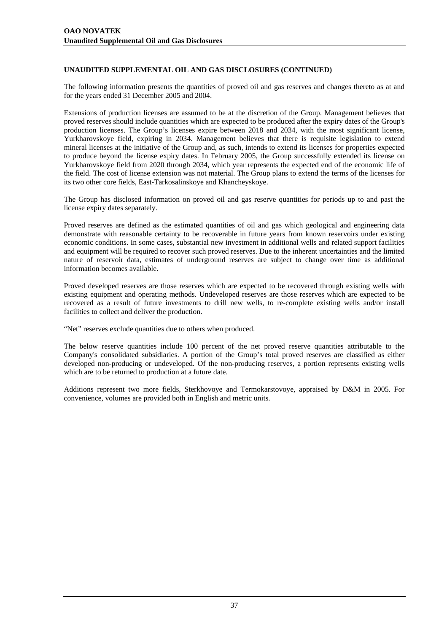The following information presents the quantities of proved oil and gas reserves and changes thereto as at and for the years ended 31 December 2005 and 2004.

Extensions of production licenses are assumed to be at the discretion of the Group. Management believes that proved reserves should include quantities which are expected to be produced after the expiry dates of the Group's production licenses. The Group's licenses expire between 2018 and 2034, with the most significant license, Yurkharovskoye field, expiring in 2034. Management believes that there is requisite legislation to extend mineral licenses at the initiative of the Group and, as such, intends to extend its licenses for properties expected to produce beyond the license expiry dates. In February 2005, the Group successfully extended its license on Yurkharovskoye field from 2020 through 2034, which year represents the expected end of the economic life of the field. The cost of license extension was not material. The Group plans to extend the terms of the licenses for its two other core fields, East-Tarkosalinskoye and Khancheyskoye.

The Group has disclosed information on proved oil and gas reserve quantities for periods up to and past the license expiry dates separately.

Proved reserves are defined as the estimated quantities of oil and gas which geological and engineering data demonstrate with reasonable certainty to be recoverable in future years from known reservoirs under existing economic conditions. In some cases, substantial new investment in additional wells and related support facilities and equipment will be required to recover such proved reserves. Due to the inherent uncertainties and the limited nature of reservoir data, estimates of underground reserves are subject to change over time as additional information becomes available.

Proved developed reserves are those reserves which are expected to be recovered through existing wells with existing equipment and operating methods. Undeveloped reserves are those reserves which are expected to be recovered as a result of future investments to drill new wells, to re-complete existing wells and/or install facilities to collect and deliver the production.

"Net" reserves exclude quantities due to others when produced.

The below reserve quantities include 100 percent of the net proved reserve quantities attributable to the Company's consolidated subsidiaries. A portion of the Group's total proved reserves are classified as either developed non-producing or undeveloped. Of the non-producing reserves, a portion represents existing wells which are to be returned to production at a future date.

Additions represent two more fields, Sterkhovoye and Termokarstovoye, appraised by D&M in 2005. For convenience, volumes are provided both in English and metric units.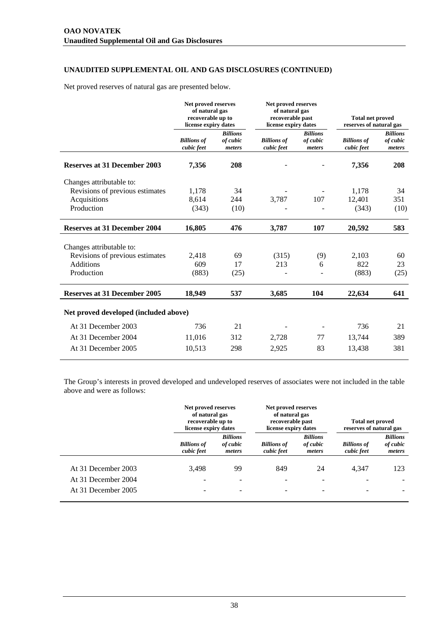Net proved reserves of natural gas are presented below.

| Net proved reserves<br>of natural gas<br>recoverable up to<br>license expiry dates |                                                | Net proved reserves<br>of natural gas<br>recoverable past<br>license expiry dates |                                       | <b>Total net proved</b><br>reserves of natural gas |                                       |
|------------------------------------------------------------------------------------|------------------------------------------------|-----------------------------------------------------------------------------------|---------------------------------------|----------------------------------------------------|---------------------------------------|
| <b>Billions</b> of<br>cubic feet                                                   | <b>Billions</b><br>of cubic<br>meters          | <b>Billions</b> of<br>cubic feet                                                  | <b>Billions</b><br>of cubic<br>meters | <b>Billions</b> of<br>cubic feet                   | <b>Billions</b><br>of cubic<br>meters |
| 7,356                                                                              | 208                                            |                                                                                   |                                       | 7,356                                              | 208                                   |
|                                                                                    |                                                |                                                                                   |                                       |                                                    |                                       |
| 1,178                                                                              | 34                                             |                                                                                   |                                       | 1,178                                              | 34                                    |
|                                                                                    | 244                                            |                                                                                   | 107                                   | 12,401                                             | 351                                   |
| (343)                                                                              | (10)                                           |                                                                                   |                                       | (343)                                              | (10)                                  |
| 16,805                                                                             | 476                                            | 3,787                                                                             | 107                                   | 20,592                                             | 583                                   |
|                                                                                    |                                                |                                                                                   |                                       |                                                    |                                       |
| 2,418                                                                              | 69                                             | (315)                                                                             |                                       | 2,103                                              | 60                                    |
| 609                                                                                | 17                                             | 213                                                                               | 6                                     | 822                                                | 23                                    |
| (883)                                                                              | (25)                                           |                                                                                   |                                       | (883)                                              | (25)                                  |
| 18,949                                                                             | 537                                            | 3,685                                                                             | 104                                   | 22,634                                             | 641                                   |
|                                                                                    |                                                |                                                                                   |                                       |                                                    |                                       |
| 736                                                                                | 21                                             |                                                                                   |                                       | 736                                                | 21                                    |
| 11,016                                                                             | 312                                            | 2,728                                                                             | 77                                    | 13,744                                             | 389                                   |
| 10,513                                                                             | 298                                            | 2,925                                                                             | 83                                    | 13,438                                             | 381                                   |
|                                                                                    | 8,614<br>Net proved developed (included above) |                                                                                   | 3,787                                 | (9)                                                |                                       |

The Group's interests in proved developed and undeveloped reserves of associates were not included in the table above and were as follows:

|                                            | Net proved reserves<br>of natural gas<br>recoverable up to<br>license expiry dates |                                       | Net proved reserves<br>of natural gas<br>recoverable past<br>license expiry dates |                                       | <b>Total net proved</b><br>reserves of natural gas |                                       |
|--------------------------------------------|------------------------------------------------------------------------------------|---------------------------------------|-----------------------------------------------------------------------------------|---------------------------------------|----------------------------------------------------|---------------------------------------|
|                                            | <b>Billions of</b><br>cubic feet                                                   | <b>Billions</b><br>of cubic<br>meters | <b>Billions of</b><br>cubic feet                                                  | <b>Billions</b><br>of cubic<br>meters | <b>Billions of</b><br>cubic feet                   | <b>Billions</b><br>of cubic<br>meters |
| At 31 December 2003<br>At 31 December 2004 | 3.498                                                                              | 99                                    | 849<br>$\overline{\phantom{a}}$                                                   | 24<br>۰                               | 4,347                                              | 123                                   |
| At 31 December 2005                        |                                                                                    |                                       | -                                                                                 | $\overline{\phantom{0}}$              |                                                    |                                       |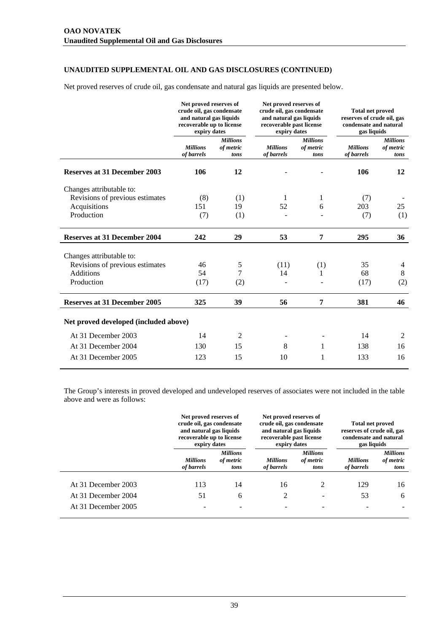Net proved reserves of crude oil, gas condensate and natural gas liquids are presented below.

|                                       | Net proved reserves of<br>crude oil, gas condensate<br>and natural gas liquids<br>recoverable up to license<br>expiry dates |                                      | Net proved reserves of<br>crude oil, gas condensate<br>and natural gas liquids<br>recoverable past license<br>expiry dates |                                      | <b>Total net proved</b><br>reserves of crude oil, gas<br>condensate and natural<br>gas liquids |                                      |
|---------------------------------------|-----------------------------------------------------------------------------------------------------------------------------|--------------------------------------|----------------------------------------------------------------------------------------------------------------------------|--------------------------------------|------------------------------------------------------------------------------------------------|--------------------------------------|
|                                       | <b>Millions</b><br>of barrels                                                                                               | <b>Millions</b><br>of metric<br>tons | <b>Millions</b><br>of barrels                                                                                              | <b>Millions</b><br>of metric<br>tons | <b>Millions</b><br>of barrels                                                                  | <b>Millions</b><br>of metric<br>tons |
| <b>Reserves at 31 December 2003</b>   | 106                                                                                                                         | 12                                   |                                                                                                                            |                                      | 106                                                                                            | 12                                   |
| Changes attributable to:              |                                                                                                                             |                                      |                                                                                                                            |                                      |                                                                                                |                                      |
| Revisions of previous estimates       | (8)                                                                                                                         | (1)                                  | 1                                                                                                                          | 1                                    | (7)                                                                                            |                                      |
| Acquisitions                          | 151                                                                                                                         | 19                                   | 52                                                                                                                         | 6                                    | 203                                                                                            | 25                                   |
| Production                            | (7)                                                                                                                         | (1)                                  |                                                                                                                            |                                      | (7)                                                                                            | (1)                                  |
| <b>Reserves at 31 December 2004</b>   | 242                                                                                                                         | 29                                   | 53                                                                                                                         | 7                                    | 295                                                                                            | 36                                   |
| Changes attributable to:              |                                                                                                                             |                                      |                                                                                                                            |                                      |                                                                                                |                                      |
| Revisions of previous estimates       | 46                                                                                                                          | 5                                    | (11)                                                                                                                       | (1)                                  | 35                                                                                             | 4                                    |
| <b>Additions</b>                      | 54                                                                                                                          | 7                                    | 14                                                                                                                         |                                      | 68                                                                                             | 8                                    |
| Production                            | (17)                                                                                                                        | (2)                                  |                                                                                                                            |                                      | (17)                                                                                           | (2)                                  |
| <b>Reserves at 31 December 2005</b>   | 325                                                                                                                         | 39                                   | 56                                                                                                                         | 7                                    | 381                                                                                            | 46                                   |
| Net proved developed (included above) |                                                                                                                             |                                      |                                                                                                                            |                                      |                                                                                                |                                      |
| At 31 December 2003                   | 14                                                                                                                          | $\overline{2}$                       |                                                                                                                            |                                      | 14                                                                                             | 2                                    |
| At 31 December 2004                   | 130                                                                                                                         | 15                                   | 8                                                                                                                          | 1                                    | 138                                                                                            | 16                                   |
| At 31 December 2005                   | 123                                                                                                                         | 15                                   | 10                                                                                                                         | 1                                    | 133                                                                                            | 16                                   |
|                                       |                                                                                                                             |                                      |                                                                                                                            |                                      |                                                                                                |                                      |

The Group's interests in proved developed and undeveloped reserves of associates were not included in the table above and were as follows:

|                     |                               | Net proved reserves of<br>crude oil, gas condensate<br>and natural gas liquids<br>recoverable up to license<br>expiry dates |                               | Net proved reserves of<br>crude oil, gas condensate<br>and natural gas liquids<br>recoverable past license<br>expiry dates |                               | <b>Total net proved</b><br>reserves of crude oil, gas<br>condensate and natural<br>gas liquids |  |
|---------------------|-------------------------------|-----------------------------------------------------------------------------------------------------------------------------|-------------------------------|----------------------------------------------------------------------------------------------------------------------------|-------------------------------|------------------------------------------------------------------------------------------------|--|
|                     | <b>Millions</b><br>of barrels | <b>Millions</b><br>of metric<br>tons                                                                                        | <b>Millions</b><br>of barrels | <b>Millions</b><br>of metric<br>tons                                                                                       | <b>Millions</b><br>of barrels | <b>Millions</b><br>of metric<br>tons                                                           |  |
| At 31 December 2003 | 113                           | 14                                                                                                                          | 16                            | $\mathfrak{D}$                                                                                                             | 129                           | 16                                                                                             |  |
| At 31 December 2004 | 51                            | 6                                                                                                                           | 2                             | $\overline{\phantom{a}}$                                                                                                   | 53                            | 6                                                                                              |  |
| At 31 December 2005 |                               |                                                                                                                             |                               |                                                                                                                            |                               |                                                                                                |  |